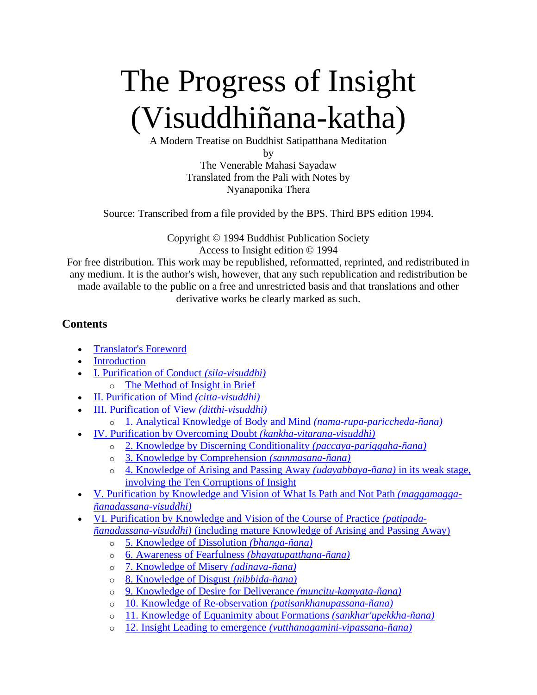# The Progress of Insight (Visuddhiñana-katha)

A Modern Treatise on Buddhist Satipatthana Meditation by

The Venerable Mahasi Sayadaw Translated from the Pali with Notes by Nyanaponika Thera

Source: Transcribed from a file provided by the BPS. Third BPS edition 1994.

Copyright © 1994 Buddhist Publication Society Access to Insight edition © 1994

For free distribution. This work may be republished, reformatted, reprinted, and redistributed in any medium. It is the author's wish, however, that any such republication and redistribution be made available to the public on a free and unrestricted basis and that translations and other derivative works be clearly marked as such.

# **Contents**

- [Translator's Foreword](http://www.accesstoinsight.org/lib/authors/mahasi/progress.html#fore)
- **[Introduction](http://www.accesstoinsight.org/lib/authors/mahasi/progress.html#intro)**
- [I. Purification of Conduct](http://www.accesstoinsight.org/lib/authors/mahasi/progress.html#ch1) *(sila-visuddhi)*
	- o [The Method of Insight in Brief](http://www.accesstoinsight.org/lib/authors/mahasi/progress.html#ch1.1)
- [II. Purification of Mind](http://www.accesstoinsight.org/lib/authors/mahasi/progress.html#ch2) *(citta-visuddhi)*
- [III. Purification of View](http://www.accesstoinsight.org/lib/authors/mahasi/progress.html#ch3) *(ditthi-visuddhi)*
	- o [1. Analytical Knowledge of Body and Mind](http://www.accesstoinsight.org/lib/authors/mahasi/progress.html#ch3.1) *(nama-rupa-pariccheda-ñana)*
- [IV. Purification by Overcoming Doubt](http://www.accesstoinsight.org/lib/authors/mahasi/progress.html#ch4) *(kankha-vitarana-visuddhi)*
	- o [2. Knowledge by Discerning Conditionality](http://www.accesstoinsight.org/lib/authors/mahasi/progress.html#ch4.2) *(paccaya-pariggaha-ñana)*
	- o [3. Knowledge by Comprehension](http://www.accesstoinsight.org/lib/authors/mahasi/progress.html#ch4.3) *(sammasana-ñana)*
	- o [4. Knowledge of Arising and Passing Away](http://www.accesstoinsight.org/lib/authors/mahasi/progress.html#ch4.4) *(udayabbaya-ñana)* in its weak stage, [involving the Ten Corruptions of Insight](http://www.accesstoinsight.org/lib/authors/mahasi/progress.html#ch4.4)
- [V. Purification by Knowledge and Vision of What Is Path and Not Path](http://www.accesstoinsight.org/lib/authors/mahasi/progress.html#ch5) *(maggamagga[ñanadassana-visuddhi\)](http://www.accesstoinsight.org/lib/authors/mahasi/progress.html#ch5)*
- [VI. Purification by Knowledge and Vision of the Course of Practice](http://www.accesstoinsight.org/lib/authors/mahasi/progress.html#ch6) *(patipadañanadassana-visuddhi)* [\(including mature Knowledge of Arising and Passing Away\)](http://www.accesstoinsight.org/lib/authors/mahasi/progress.html#ch6)
	- o [5. Knowledge of Dissolution](http://www.accesstoinsight.org/lib/authors/mahasi/progress.html#ch6.5) *(bhanga-ñana)*
	- o [6. Awareness of Fearfulness](http://www.accesstoinsight.org/lib/authors/mahasi/progress.html#ch6.6) *(bhayatupatthana-ñana)*
	- o [7. Knowledge of Misery](http://www.accesstoinsight.org/lib/authors/mahasi/progress.html#ch6.7) *(adinava-ñana)*
	- o [8. Knowledge of Disgust](http://www.accesstoinsight.org/lib/authors/mahasi/progress.html#ch6.8) *(nibbida-ñana)*
	- o [9. Knowledge of Desire for Deliverance](http://www.accesstoinsight.org/lib/authors/mahasi/progress.html#ch6.9) *(muncitu-kamyata-ñana)*
	- o [10. Knowledge of Re-observation](http://www.accesstoinsight.org/lib/authors/mahasi/progress.html#ch6.10) *(patisankhanupassana-ñana)*
	- o [11. Knowledge of Equanimity about Formations](http://www.accesstoinsight.org/lib/authors/mahasi/progress.html#ch6.11) *(sankhar'upekkha-ñana)*
	- o [12. Insight Leading to emergence](http://www.accesstoinsight.org/lib/authors/mahasi/progress.html#ch6.12) *(vutthanagamini-vipassana-ñana)*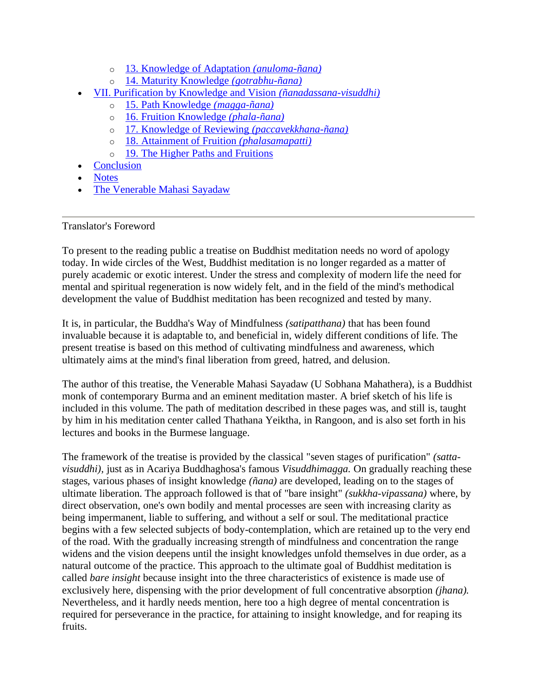- o [13. Knowledge of Adaptation](http://www.accesstoinsight.org/lib/authors/mahasi/progress.html#ch6.13) *(anuloma-ñana)*
- o [14. Maturity Knowledge](http://www.accesstoinsight.org/lib/authors/mahasi/progress.html#ch6.14) *(gotrabhu-ñana)*
- [VII. Purification by Knowledge and Vision](http://www.accesstoinsight.org/lib/authors/mahasi/progress.html#ch7) *(ñanadassana-visuddhi)*
	- o [15. Path Knowledge](http://www.accesstoinsight.org/lib/authors/mahasi/progress.html#ch7.15) *(magga-ñana)*
	- o [16. Fruition Knowledge](http://www.accesstoinsight.org/lib/authors/mahasi/progress.html#ch7.16) *(phala-ñana)*
	- o [17. Knowledge of Reviewing](http://www.accesstoinsight.org/lib/authors/mahasi/progress.html#ch7.17) *(paccavekkhana-ñana)*
	- o [18. Attainment of Fruition](http://www.accesstoinsight.org/lib/authors/mahasi/progress.html#ch7.18) *(phalasamapatti)*
	- o [19. The Higher Paths and Fruitions](http://www.accesstoinsight.org/lib/authors/mahasi/progress.html#ch7.19)
- [Conclusion](http://www.accesstoinsight.org/lib/authors/mahasi/progress.html#con)
- [Notes](http://www.accesstoinsight.org/lib/authors/mahasi/progress.html#notes)
- [The Venerable Mahasi Sayadaw](http://www.accesstoinsight.org/lib/authors/mahasi/progress.html#ven)

#### Translator's Foreword

To present to the reading public a treatise on Buddhist meditation needs no word of apology today. In wide circles of the West, Buddhist meditation is no longer regarded as a matter of purely academic or exotic interest. Under the stress and complexity of modern life the need for mental and spiritual regeneration is now widely felt, and in the field of the mind's methodical development the value of Buddhist meditation has been recognized and tested by many.

It is, in particular, the Buddha's Way of Mindfulness *(satipatthana)* that has been found invaluable because it is adaptable to, and beneficial in, widely different conditions of life. The present treatise is based on this method of cultivating mindfulness and awareness, which ultimately aims at the mind's final liberation from greed, hatred, and delusion.

The author of this treatise, the Venerable Mahasi Sayadaw (U Sobhana Mahathera), is a Buddhist monk of contemporary Burma and an eminent meditation master. A brief sketch of his life is included in this volume. The path of meditation described in these pages was, and still is, taught by him in his meditation center called Thathana Yeiktha, in Rangoon, and is also set forth in his lectures and books in the Burmese language.

The framework of the treatise is provided by the classical "seven stages of purification" *(sattavisuddhi),* just as in Acariya Buddhaghosa's famous *Visuddhimagga.* On gradually reaching these stages, various phases of insight knowledge *(ñana)* are developed, leading on to the stages of ultimate liberation. The approach followed is that of "bare insight" *(sukkha-vipassana)* where, by direct observation, one's own bodily and mental processes are seen with increasing clarity as being impermanent, liable to suffering, and without a self or soul. The meditational practice begins with a few selected subjects of body-contemplation, which are retained up to the very end of the road. With the gradually increasing strength of mindfulness and concentration the range widens and the vision deepens until the insight knowledges unfold themselves in due order, as a natural outcome of the practice. This approach to the ultimate goal of Buddhist meditation is called *bare insight* because insight into the three characteristics of existence is made use of exclusively here, dispensing with the prior development of full concentrative absorption *(jhana).* Nevertheless, and it hardly needs mention, here too a high degree of mental concentration is required for perseverance in the practice, for attaining to insight knowledge, and for reaping its fruits.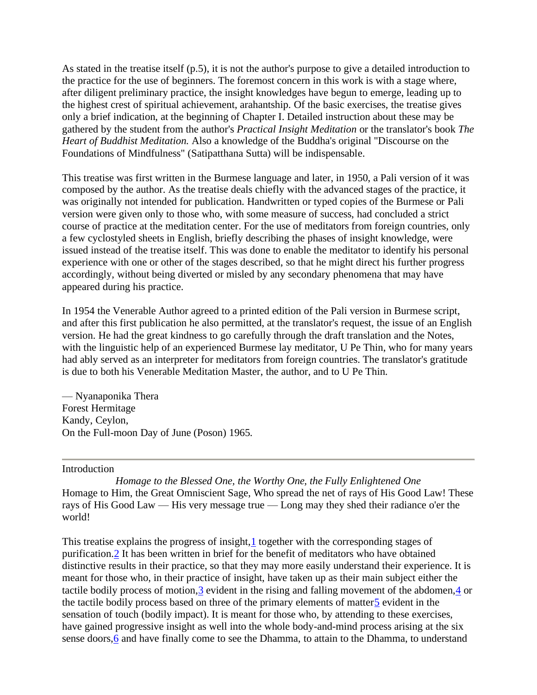As stated in the treatise itself (p.5), it is not the author's purpose to give a detailed introduction to the practice for the use of beginners. The foremost concern in this work is with a stage where, after diligent preliminary practice, the insight knowledges have begun to emerge, leading up to the highest crest of spiritual achievement, arahantship. Of the basic exercises, the treatise gives only a brief indication, at the beginning of Chapter I. Detailed instruction about these may be gathered by the student from the author's *Practical Insight Meditation* or the translator's book *The Heart of Buddhist Meditation.* Also a knowledge of the Buddha's original "Discourse on the Foundations of Mindfulness" (Satipatthana Sutta) will be indispensable.

This treatise was first written in the Burmese language and later, in 1950, a Pali version of it was composed by the author. As the treatise deals chiefly with the advanced stages of the practice, it was originally not intended for publication. Handwritten or typed copies of the Burmese or Pali version were given only to those who, with some measure of success, had concluded a strict course of practice at the meditation center. For the use of meditators from foreign countries, only a few cyclostyled sheets in English, briefly describing the phases of insight knowledge, were issued instead of the treatise itself. This was done to enable the meditator to identify his personal experience with one or other of the stages described, so that he might direct his further progress accordingly, without being diverted or misled by any secondary phenomena that may have appeared during his practice.

In 1954 the Venerable Author agreed to a printed edition of the Pali version in Burmese script, and after this first publication he also permitted, at the translator's request, the issue of an English version. He had the great kindness to go carefully through the draft translation and the Notes, with the linguistic help of an experienced Burmese lay meditator, U Pe Thin, who for many years had ably served as an interpreter for meditators from foreign countries. The translator's gratitude is due to both his Venerable Meditation Master, the author, and to U Pe Thin.

— Nyanaponika Thera Forest Hermitage Kandy, Ceylon, On the Full-moon Day of June (Poson) 1965.

#### Introduction

*Homage to the Blessed One, the Worthy One, the Fully Enlightened One* Homage to Him, the Great Omniscient Sage, Who spread the net of rays of His Good Law! These rays of His Good Law — His very message true — Long may they shed their radiance o'er the world!

This treatise explains the progress of insight, 1 together with the corresponding stages of purification[.2](http://www.accesstoinsight.org/lib/authors/mahasi/progress.html#n-2) It has been written in brief for the benefit of meditators who have obtained distinctive results in their practice, so that they may more easily understand their experience. It is meant for those who, in their practice of insight, have taken up as their main subject either the tactile bodily process of motion[,3](http://www.accesstoinsight.org/lib/authors/mahasi/progress.html#n-3) evident in the rising and falling movement of the abdomen[,4](http://www.accesstoinsight.org/lib/authors/mahasi/progress.html#n-4) or the tactile bodily process based on three of the primary elements of matter  $\frac{5}{2}$  evident in the sensation of touch (bodily impact). It is meant for those who, by attending to these exercises, have gained progressive insight as well into the whole body-and-mind process arising at the six sense doors, 6 and have finally come to see the Dhamma, to attain to the Dhamma, to understand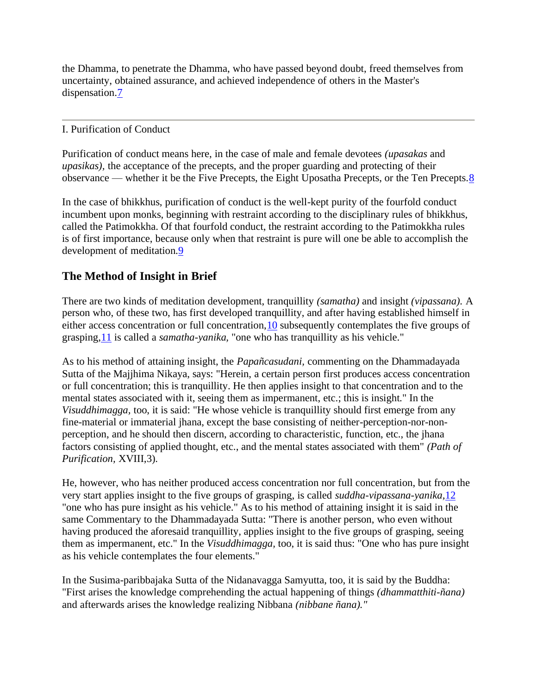the Dhamma, to penetrate the Dhamma, who have passed beyond doubt, freed themselves from uncertainty, obtained assurance, and achieved independence of others in the Master's dispensation[.7](http://www.accesstoinsight.org/lib/authors/mahasi/progress.html#n-7)

#### I. Purification of Conduct

Purification of conduct means here, in the case of male and female devotees *(upasakas* and *upasikas),* the acceptance of the precepts, and the proper guarding and protecting of their observance — whether it be the Five Precepts, the Eight Uposatha Precepts, or the Ten Precepts. $8$ 

In the case of bhikkhus, purification of conduct is the well-kept purity of the fourfold conduct incumbent upon monks, beginning with restraint according to the disciplinary rules of bhikkhus, called the Patimokkha. Of that fourfold conduct, the restraint according to the Patimokkha rules is of first importance, because only when that restraint is pure will one be able to accomplish the development of meditation[.9](http://www.accesstoinsight.org/lib/authors/mahasi/progress.html#n-9)

# **The Method of Insight in Brie[f](http://www.accesstoinsight.org/lib/authors/mahasi/progress.html#ch1)**

There are two kinds of meditation development, tranquillity *(samatha)* and insight *(vipassana).* A person who, of these two, has first developed tranquillity, and after having established himself in either access concentration or full concentration[,10](http://www.accesstoinsight.org/lib/authors/mahasi/progress.html#n-10) subsequently contemplates the five groups of grasping[,11](http://www.accesstoinsight.org/lib/authors/mahasi/progress.html#n-11) is called a *samatha-yanika,* "one who has tranquillity as his vehicle."

As to his method of attaining insight, the *Papañcasudani,* commenting on the Dhammadayada Sutta of the Majjhima Nikaya, says: "Herein, a certain person first produces access concentration or full concentration; this is tranquillity. He then applies insight to that concentration and to the mental states associated with it, seeing them as impermanent, etc.; this is insight." In the *Visuddhimagga,* too, it is said: "He whose vehicle is tranquillity should first emerge from any fine-material or immaterial jhana, except the base consisting of neither-perception-nor-nonperception, and he should then discern, according to characteristic, function, etc., the jhana factors consisting of applied thought, etc., and the mental states associated with them" *(Path of Purification,* XVIII,3).

He, however, who has neither produced access concentration nor full concentration, but from the very start applies insight to the five groups of grasping, is called *suddha-vipassana-yanika,*[12](http://www.accesstoinsight.org/lib/authors/mahasi/progress.html#n-12) "one who has pure insight as his vehicle." As to his method of attaining insight it is said in the same Commentary to the Dhammadayada Sutta: "There is another person, who even without having produced the aforesaid tranquillity, applies insight to the five groups of grasping, seeing them as impermanent, etc." In the *Visuddhimagga,* too, it is said thus: "One who has pure insight as his vehicle contemplates the four elements."

In the Susima-paribbajaka Sutta of the Nidanavagga Samyutta, too, it is said by the Buddha: "First arises the knowledge comprehending the actual happening of things *(dhammatthiti-ñana)* and afterwards arises the knowledge realizing Nibbana *(nibbane ñana)."*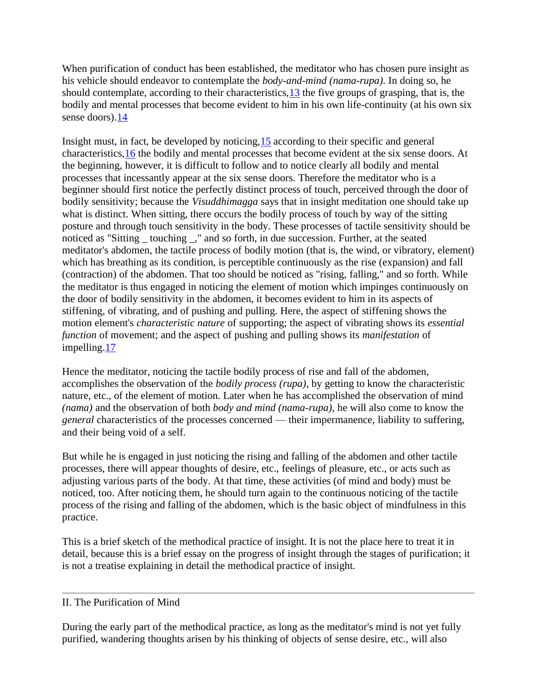When purification of conduct has been established, the meditator who has chosen pure insight as his vehicle should endeavor to contemplate the *body-and-mind (nama-rupa).* In doing so, he should contemplate, according to their characteristics[,13](http://www.accesstoinsight.org/lib/authors/mahasi/progress.html#n-13) the five groups of grasping, that is, the bodily and mental processes that become evident to him in his own life-continuity (at his own six sense doors)[.14](http://www.accesstoinsight.org/lib/authors/mahasi/progress.html#n-14)

Insight must, in fact, be developed by noticing[,15](http://www.accesstoinsight.org/lib/authors/mahasi/progress.html#n-15) according to their specific and general characteristics[,16](http://www.accesstoinsight.org/lib/authors/mahasi/progress.html#n-16) the bodily and mental processes that become evident at the six sense doors. At the beginning, however, it is difficult to follow and to notice clearly all bodily and mental processes that incessantly appear at the six sense doors. Therefore the meditator who is a beginner should first notice the perfectly distinct process of touch, perceived through the door of bodily sensitivity; because the *Visuddhimagga* says that in insight meditation one should take up what is distinct. When sitting, there occurs the bodily process of touch by way of the sitting posture and through touch sensitivity in the body. These processes of tactile sensitivity should be noticed as "Sitting \_ touching \_," and so forth, in due succession. Further, at the seated meditator's abdomen, the tactile process of bodily motion (that is, the wind, or vibratory, element) which has breathing as its condition, is perceptible continuously as the rise (expansion) and fall (contraction) of the abdomen. That too should be noticed as "rising, falling," and so forth. While the meditator is thus engaged in noticing the element of motion which impinges continuously on the door of bodily sensitivity in the abdomen, it becomes evident to him in its aspects of stiffening, of vibrating, and of pushing and pulling. Here, the aspect of stiffening shows the motion element's *characteristic nature* of supporting; the aspect of vibrating shows its *essential function* of movement; and the aspect of pushing and pulling shows its *manifestation* of impelling[.17](http://www.accesstoinsight.org/lib/authors/mahasi/progress.html#n-17)

Hence the meditator, noticing the tactile bodily process of rise and fall of the abdomen, accomplishes the observation of the *bodily process (rupa),* by getting to know the characteristic nature, etc., of the element of motion. Later when he has accomplished the observation of mind *(nama)* and the observation of both *body and mind (nama-rupa),* he will also come to know the *general* characteristics of the processes concerned — their impermanence, liability to suffering, and their being void of a self.

But while he is engaged in just noticing the rising and falling of the abdomen and other tactile processes, there will appear thoughts of desire, etc., feelings of pleasure, etc., or acts such as adjusting various parts of the body. At that time, these activities (of mind and body) must be noticed, too. After noticing them, he should turn again to the continuous noticing of the tactile process of the rising and falling of the abdomen, which is the basic object of mindfulness in this practice.

This is a brief sketch of the methodical practice of insight. It is not the place here to treat it in detail, because this is a brief essay on the progress of insight through the stages of purification; it is not a treatise explaining in detail the methodical practice of insight.

#### II. The Purification of Mind

During the early part of the methodical practice, as long as the meditator's mind is not yet fully purified, wandering thoughts arisen by his thinking of objects of sense desire, etc., will also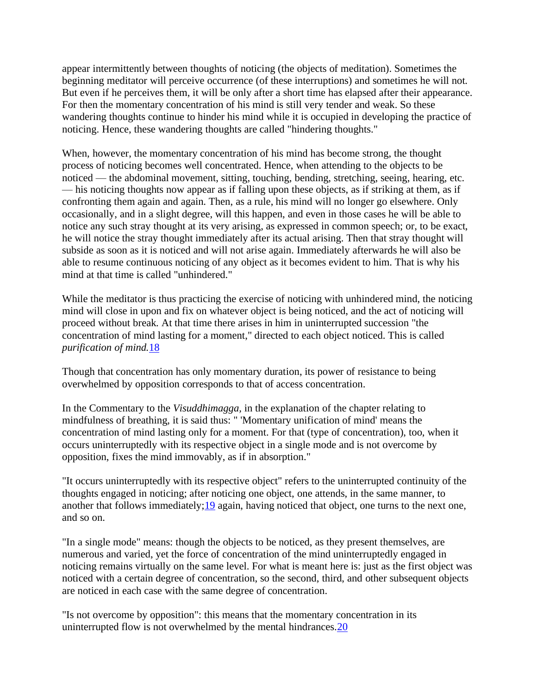appear intermittently between thoughts of noticing (the objects of meditation). Sometimes the beginning meditator will perceive occurrence (of these interruptions) and sometimes he will not. But even if he perceives them, it will be only after a short time has elapsed after their appearance. For then the momentary concentration of his mind is still very tender and weak. So these wandering thoughts continue to hinder his mind while it is occupied in developing the practice of noticing. Hence, these wandering thoughts are called "hindering thoughts."

When, however, the momentary concentration of his mind has become strong, the thought process of noticing becomes well concentrated. Hence, when attending to the objects to be noticed — the abdominal movement, sitting, touching, bending, stretching, seeing, hearing, etc. — his noticing thoughts now appear as if falling upon these objects, as if striking at them, as if confronting them again and again. Then, as a rule, his mind will no longer go elsewhere. Only occasionally, and in a slight degree, will this happen, and even in those cases he will be able to notice any such stray thought at its very arising, as expressed in common speech; or, to be exact, he will notice the stray thought immediately after its actual arising. Then that stray thought will subside as soon as it is noticed and will not arise again. Immediately afterwards he will also be able to resume continuous noticing of any object as it becomes evident to him. That is why his mind at that time is called "unhindered."

While the meditator is thus practicing the exercise of noticing with unhindered mind, the noticing mind will close in upon and fix on whatever object is being noticed, and the act of noticing will proceed without break. At that time there arises in him in uninterrupted succession "the concentration of mind lasting for a moment," directed to each object noticed. This is called *purification of mind.*[18](http://www.accesstoinsight.org/lib/authors/mahasi/progress.html#n-18)

Though that concentration has only momentary duration, its power of resistance to being overwhelmed by opposition corresponds to that of access concentration.

In the Commentary to the *Visuddhimagga,* in the explanation of the chapter relating to mindfulness of breathing, it is said thus: " 'Momentary unification of mind' means the concentration of mind lasting only for a moment. For that (type of concentration), too, when it occurs uninterruptedly with its respective object in a single mode and is not overcome by opposition, fixes the mind immovably, as if in absorption."

"It occurs uninterruptedly with its respective object" refers to the uninterrupted continuity of the thoughts engaged in noticing; after noticing one object, one attends, in the same manner, to another that follows immediately[;19](http://www.accesstoinsight.org/lib/authors/mahasi/progress.html#n-19) again, having noticed that object, one turns to the next one, and so on.

"In a single mode" means: though the objects to be noticed, as they present themselves, are numerous and varied, yet the force of concentration of the mind uninterruptedly engaged in noticing remains virtually on the same level. For what is meant here is: just as the first object was noticed with a certain degree of concentration, so the second, third, and other subsequent objects are noticed in each case with the same degree of concentration.

"Is not overcome by opposition": this means that the momentary concentration in its uninterrupted flow is not overwhelmed by the mental hindrances[.20](http://www.accesstoinsight.org/lib/authors/mahasi/progress.html#n-20)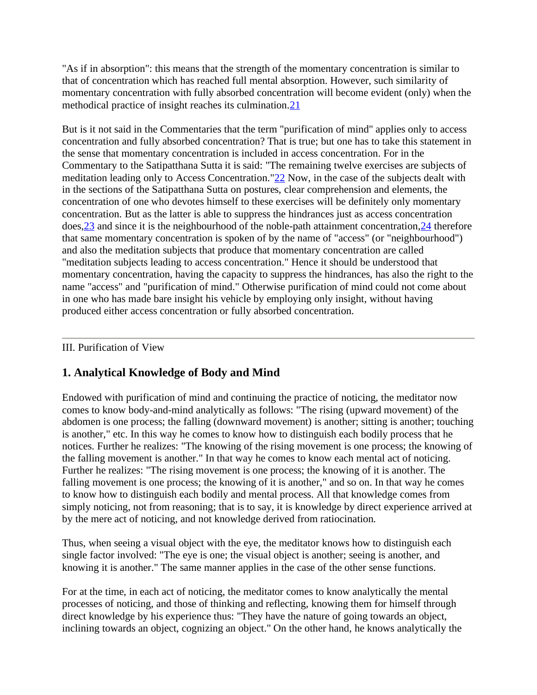"As if in absorption": this means that the strength of the momentary concentration is similar to that of concentration which has reached full mental absorption. However, such similarity of momentary concentration with fully absorbed concentration will become evident (only) when the methodical practice of insight reaches its culmination[.21](http://www.accesstoinsight.org/lib/authors/mahasi/progress.html#n-21)

But is it not said in the Commentaries that the term "purification of mind" applies only to access concentration and fully absorbed concentration? That is true; but one has to take this statement in the sense that momentary concentration is included in access concentration. For in the Commentary to the Satipatthana Sutta it is said: "The remaining twelve exercises are subjects of meditation leading only to Access Concentration.["22](http://www.accesstoinsight.org/lib/authors/mahasi/progress.html#n-22) Now, in the case of the subjects dealt with in the sections of the Satipatthana Sutta on postures, clear comprehension and elements, the concentration of one who devotes himself to these exercises will be definitely only momentary concentration. But as the latter is able to suppress the hindrances just as access concentration does[,23](http://www.accesstoinsight.org/lib/authors/mahasi/progress.html#n-23) and since it is the neighbourhood of the noble-path attainment concentration[,24](http://www.accesstoinsight.org/lib/authors/mahasi/progress.html#n-24) therefore that same momentary concentration is spoken of by the name of "access" (or "neighbourhood") and also the meditation subjects that produce that momentary concentration are called "meditation subjects leading to access concentration." Hence it should be understood that momentary concentration, having the capacity to suppress the hindrances, has also the right to the name "access" and "purification of mind." Otherwise purification of mind could not come about in one who has made bare insight his vehicle by employing only insight, without having produced either access concentration or fully absorbed concentration.

#### III. Purification of View

# **1. Analytical Knowledge of Body and Mind**

Endowed with purification of mind and continuing the practice of noticing, the meditator now comes to know body-and-mind analytically as follows: "The rising (upward movement) of the abdomen is one process; the falling (downward movement) is another; sitting is another; touching is another," etc. In this way he comes to know how to distinguish each bodily process that he notices. Further he realizes: "The knowing of the rising movement is one process; the knowing of the falling movement is another." In that way he comes to know each mental act of noticing. Further he realizes: "The rising movement is one process; the knowing of it is another. The falling movement is one process; the knowing of it is another," and so on. In that way he comes to know how to distinguish each bodily and mental process. All that knowledge comes from simply noticing, not from reasoning; that is to say, it is knowledge by direct experience arrived at by the mere act of noticing, and not knowledge derived from ratiocination.

Thus, when seeing a visual object with the eye, the meditator knows how to distinguish each single factor involved: "The eye is one; the visual object is another; seeing is another, and knowing it is another." The same manner applies in the case of the other sense functions.

For at the time, in each act of noticing, the meditator comes to know analytically the mental processes of noticing, and those of thinking and reflecting, knowing them for himself through direct knowledge by his experience thus: "They have the nature of going towards an object, inclining towards an object, cognizing an object." On the other hand, he knows analytically the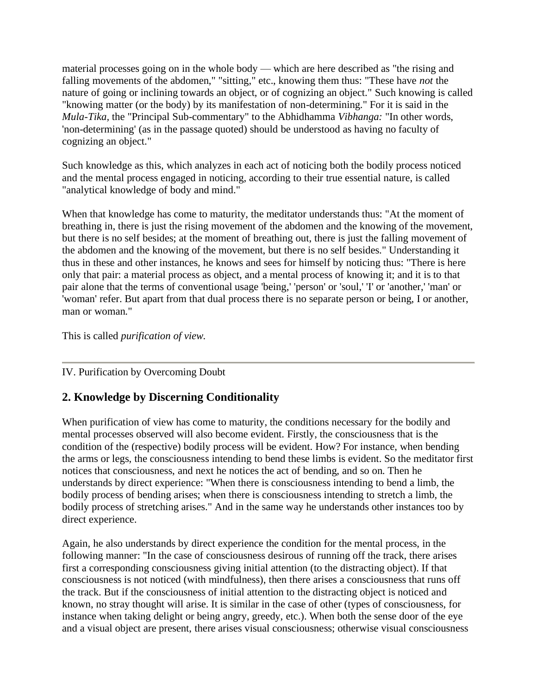material processes going on in the whole body — which are here described as "the rising and falling movements of the abdomen," "sitting," etc., knowing them thus: "These have *not* the nature of going or inclining towards an object, or of cognizing an object." Such knowing is called "knowing matter (or the body) by its manifestation of non-determining." For it is said in the *Mula-Tika,* the "Principal Sub-commentary" to the Abhidhamma *Vibhanga:* "In other words, 'non-determining' (as in the passage quoted) should be understood as having no faculty of cognizing an object."

Such knowledge as this, which analyzes in each act of noticing both the bodily process noticed and the mental process engaged in noticing, according to their true essential nature, is called "analytical knowledge of body and mind."

When that knowledge has come to maturity, the meditator understands thus: "At the moment of breathing in, there is just the rising movement of the abdomen and the knowing of the movement, but there is no self besides; at the moment of breathing out, there is just the falling movement of the abdomen and the knowing of the movement, but there is no self besides." Understanding it thus in these and other instances, he knows and sees for himself by noticing thus: "There is here only that pair: a material process as object, and a mental process of knowing it; and it is to that pair alone that the terms of conventional usage 'being,' 'person' or 'soul,' 'I' or 'another,' 'man' or 'woman' refer. But apart from that dual process there is no separate person or being, I or another, man or woman."

This is called *purification of view.*

#### IV. Purification by Overcoming Doubt

# **2. Knowledge by Discerning Conditionality**

When purification of view has come to maturity, the conditions necessary for the bodily and mental processes observed will also become evident. Firstly, the consciousness that is the condition of the (respective) bodily process will be evident. How? For instance, when bending the arms or legs, the consciousness intending to bend these limbs is evident. So the meditator first notices that consciousness, and next he notices the act of bending, and so on. Then he understands by direct experience: "When there is consciousness intending to bend a limb, the bodily process of bending arises; when there is consciousness intending to stretch a limb, the bodily process of stretching arises." And in the same way he understands other instances too by direct experience.

Again, he also understands by direct experience the condition for the mental process, in the following manner: "In the case of consciousness desirous of running off the track, there arises first a corresponding consciousness giving initial attention (to the distracting object). If that consciousness is not noticed (with mindfulness), then there arises a consciousness that runs off the track. But if the consciousness of initial attention to the distracting object is noticed and known, no stray thought will arise. It is similar in the case of other (types of consciousness, for instance when taking delight or being angry, greedy, etc.). When both the sense door of the eye and a visual object are present, there arises visual consciousness; otherwise visual consciousness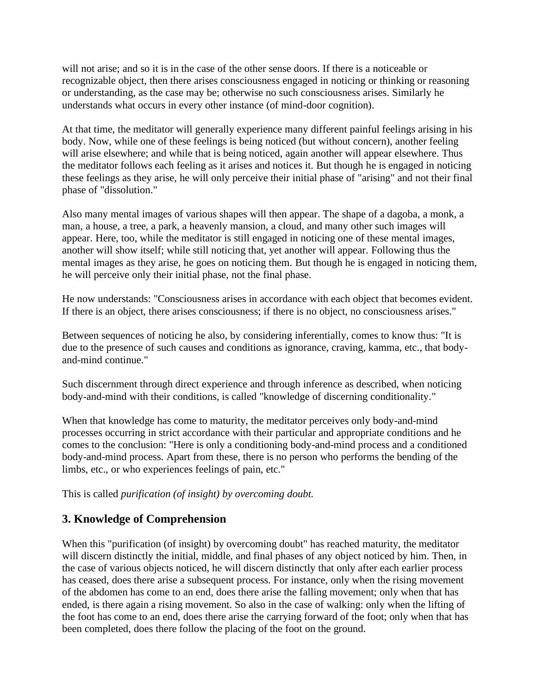will not arise; and so it is in the case of the other sense doors. If there is a noticeable or recognizable object, then there arises consciousness engaged in noticing or thinking or reasoning or understanding, as the case may be; otherwise no such consciousness arises. Similarly he understands what occurs in every other instance (of mind-door cognition).

At that time, the meditator will generally experience many different painful feelings arising in his body. Now, while one of these feelings is being noticed (but without concern), another feeling will arise elsewhere; and while that is being noticed, again another will appear elsewhere. Thus the meditator follows each feeling as it arises and notices it. But though he is engaged in noticing these feelings as they arise, he will only perceive their initial phase of "arising" and not their final phase of "dissolution."

Also many mental images of various shapes will then appear. The shape of a dagoba, a monk, a man, a house, a tree, a park, a heavenly mansion, a cloud, and many other such images will appear. Here, too, while the meditator is still engaged in noticing one of these mental images, another will show itself; while still noticing that, yet another will appear. Following thus the mental images as they arise, he goes on noticing them. But though he is engaged in noticing them, he will perceive only their initial phase, not the final phase.

He now understands: "Consciousness arises in accordance with each object that becomes evident. If there is an object, there arises consciousness; if there is no object, no consciousness arises."

Between sequences of noticing he also, by considering inferentially, comes to know thus: "It is due to the presence of such causes and conditions as ignorance, craving, kamma, etc., that bodyand-mind continue."

Such discernment through direct experience and through inference as described, when noticing body-and-mind with their conditions, is called "knowledge of discerning conditionality."

When that knowledge has come to maturity, the meditator perceives only body-and-mind processes occurring in strict accordance with their particular and appropriate conditions and he comes to the conclusion: "Here is only a conditioning body-and-mind process and a conditioned body-and-mind process. Apart from these, there is no person who performs the bending of the limbs, etc., or who experiences feelings of pain, etc."

This is called *purification (of insight) by overcoming doubt.*

#### **3. Knowledge of Comprehension**

When this "purification (of insight) by overcoming doubt" has reached maturity, the meditator will discern distinctly the initial, middle, and final phases of any object noticed by him. Then, in the case of various objects noticed, he will discern distinctly that only after each earlier process has ceased, does there arise a subsequent process. For instance, only when the rising movement of the abdomen has come to an end, does there arise the falling movement; only when that has ended, is there again a rising movement. So also in the case of walking: only when the lifting of the foot has come to an end, does there arise the carrying forward of the foot; only when that has been completed, does there follow the placing of the foot on the ground.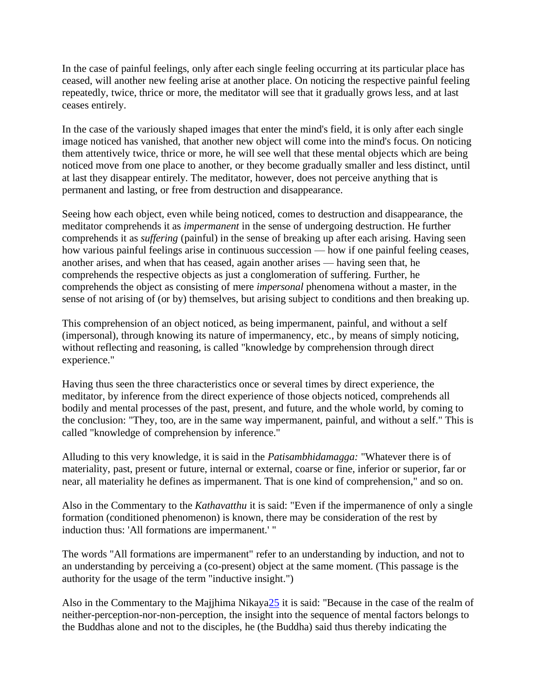In the case of painful feelings, only after each single feeling occurring at its particular place has ceased, will another new feeling arise at another place. On noticing the respective painful feeling repeatedly, twice, thrice or more, the meditator will see that it gradually grows less, and at last ceases entirely.

In the case of the variously shaped images that enter the mind's field, it is only after each single image noticed has vanished, that another new object will come into the mind's focus. On noticing them attentively twice, thrice or more, he will see well that these mental objects which are being noticed move from one place to another, or they become gradually smaller and less distinct, until at last they disappear entirely. The meditator, however, does not perceive anything that is permanent and lasting, or free from destruction and disappearance.

Seeing how each object, even while being noticed, comes to destruction and disappearance, the meditator comprehends it as *impermanent* in the sense of undergoing destruction. He further comprehends it as *suffering* (painful) in the sense of breaking up after each arising. Having seen how various painful feelings arise in continuous succession — how if one painful feeling ceases, another arises, and when that has ceased, again another arises — having seen that, he comprehends the respective objects as just a conglomeration of suffering. Further, he comprehends the object as consisting of mere *impersonal* phenomena without a master, in the sense of not arising of (or by) themselves, but arising subject to conditions and then breaking up.

This comprehension of an object noticed, as being impermanent, painful, and without a self (impersonal), through knowing its nature of impermanency, etc., by means of simply noticing, without reflecting and reasoning, is called "knowledge by comprehension through direct experience."

Having thus seen the three characteristics once or several times by direct experience, the meditator, by inference from the direct experience of those objects noticed, comprehends all bodily and mental processes of the past, present, and future, and the whole world, by coming to the conclusion: "They, too, are in the same way impermanent, painful, and without a self." This is called "knowledge of comprehension by inference."

Alluding to this very knowledge, it is said in the *Patisambhidamagga:* "Whatever there is of materiality, past, present or future, internal or external, coarse or fine, inferior or superior, far or near, all materiality he defines as impermanent. That is one kind of comprehension," and so on.

Also in the Commentary to the *Kathavatthu* it is said: "Even if the impermanence of only a single formation (conditioned phenomenon) is known, there may be consideration of the rest by induction thus: 'All formations are impermanent.' "

The words "All formations are impermanent" refer to an understanding by induction, and not to an understanding by perceiving a (co-present) object at the same moment. (This passage is the authority for the usage of the term "inductive insight.")

Also in the Commentary to the Majjhima Nikaya $25$  it is said: "Because in the case of the realm of neither-perception-nor-non-perception, the insight into the sequence of mental factors belongs to the Buddhas alone and not to the disciples, he (the Buddha) said thus thereby indicating the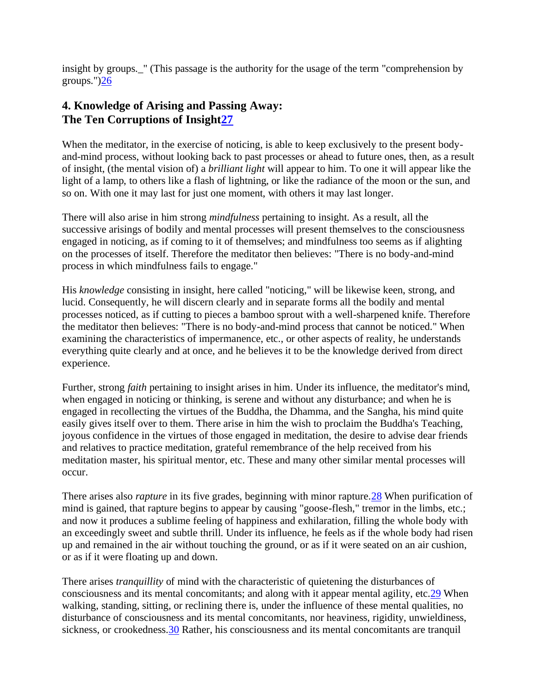insight by groups. " (This passage is the authority for the usage of the term "comprehension by groups." $)26$ 

# **4. Knowledge of Arising and Passing Away: The Ten Corruptions of Insigh[t27](http://www.accesstoinsight.org/lib/authors/mahasi/progress.html#n-27)**

When the meditator, in the exercise of noticing, is able to keep exclusively to the present bodyand-mind process, without looking back to past processes or ahead to future ones, then, as a result of insight, (the mental vision of) a *brilliant light* will appear to him. To one it will appear like the light of a lamp, to others like a flash of lightning, or like the radiance of the moon or the sun, and so on. With one it may last for just one moment, with others it may last longer.

There will also arise in him strong *mindfulness* pertaining to insight. As a result, all the successive arisings of bodily and mental processes will present themselves to the consciousness engaged in noticing, as if coming to it of themselves; and mindfulness too seems as if alighting on the processes of itself. Therefore the meditator then believes: "There is no body-and-mind process in which mindfulness fails to engage."

His *knowledge* consisting in insight, here called "noticing," will be likewise keen, strong, and lucid. Consequently, he will discern clearly and in separate forms all the bodily and mental processes noticed, as if cutting to pieces a bamboo sprout with a well-sharpened knife. Therefore the meditator then believes: "There is no body-and-mind process that cannot be noticed." When examining the characteristics of impermanence, etc., or other aspects of reality, he understands everything quite clearly and at once, and he believes it to be the knowledge derived from direct experience.

Further, strong *faith* pertaining to insight arises in him. Under its influence, the meditator's mind, when engaged in noticing or thinking, is serene and without any disturbance; and when he is engaged in recollecting the virtues of the Buddha, the Dhamma, and the Sangha, his mind quite easily gives itself over to them. There arise in him the wish to proclaim the Buddha's Teaching, joyous confidence in the virtues of those engaged in meditation, the desire to advise dear friends and relatives to practice meditation, grateful remembrance of the help received from his meditation master, his spiritual mentor, etc. These and many other similar mental processes will occur.

There arises also *rapture* in its five grades, beginning with minor rapture[.28](http://www.accesstoinsight.org/lib/authors/mahasi/progress.html#n-28) When purification of mind is gained, that rapture begins to appear by causing "goose-flesh," tremor in the limbs, etc.; and now it produces a sublime feeling of happiness and exhilaration, filling the whole body with an exceedingly sweet and subtle thrill. Under its influence, he feels as if the whole body had risen up and remained in the air without touching the ground, or as if it were seated on an air cushion, or as if it were floating up and down.

There arises *tranquillity* of mind with the characteristic of quietening the disturbances of consciousness and its mental concomitants; and along with it appear mental agility, etc[.29](http://www.accesstoinsight.org/lib/authors/mahasi/progress.html#n-29) When walking, standing, sitting, or reclining there is, under the influence of these mental qualities, no disturbance of consciousness and its mental concomitants, nor heaviness, rigidity, unwieldiness, sickness, or crookedness. 30 Rather, his consciousness and its mental concomitants are tranquil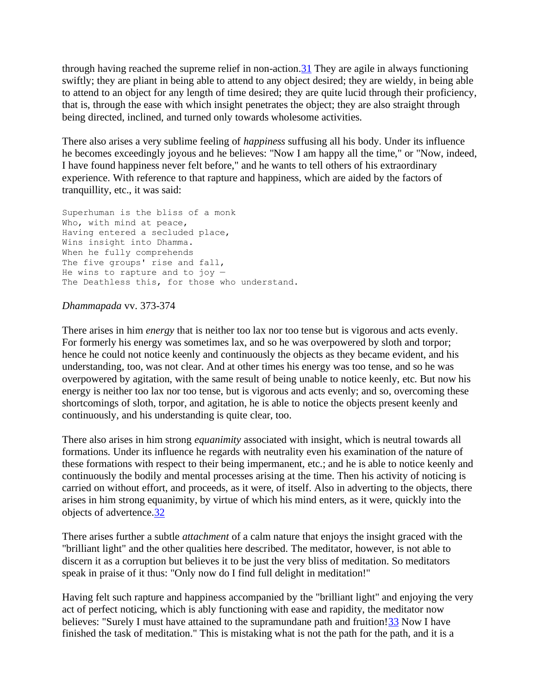through having reached the supreme relief in non-action[.31](http://www.accesstoinsight.org/lib/authors/mahasi/progress.html#n-31) They are agile in always functioning swiftly; they are pliant in being able to attend to any object desired; they are wieldy, in being able to attend to an object for any length of time desired; they are quite lucid through their proficiency, that is, through the ease with which insight penetrates the object; they are also straight through being directed, inclined, and turned only towards wholesome activities.

There also arises a very sublime feeling of *happiness* suffusing all his body. Under its influence he becomes exceedingly joyous and he believes: "Now I am happy all the time," or "Now, indeed, I have found happiness never felt before," and he wants to tell others of his extraordinary experience. With reference to that rapture and happiness, which are aided by the factors of tranquillity, etc., it was said:

Superhuman is the bliss of a monk Who, with mind at peace, Having entered a secluded place, Wins insight into Dhamma. When he fully comprehends The five groups' rise and fall, He wins to rapture and to joy  $-$ The Deathless this, for those who understand.

#### *Dhammapada* vv. 373-374

There arises in him *energy* that is neither too lax nor too tense but is vigorous and acts evenly. For formerly his energy was sometimes lax, and so he was overpowered by sloth and torpor; hence he could not notice keenly and continuously the objects as they became evident, and his understanding, too, was not clear. And at other times his energy was too tense, and so he was overpowered by agitation, with the same result of being unable to notice keenly, etc. But now his energy is neither too lax nor too tense, but is vigorous and acts evenly; and so, overcoming these shortcomings of sloth, torpor, and agitation, he is able to notice the objects present keenly and continuously, and his understanding is quite clear, too.

There also arises in him strong *equanimity* associated with insight, which is neutral towards all formations. Under its influence he regards with neutrality even his examination of the nature of these formations with respect to their being impermanent, etc.; and he is able to notice keenly and continuously the bodily and mental processes arising at the time. Then his activity of noticing is carried on without effort, and proceeds, as it were, of itself. Also in adverting to the objects, there arises in him strong equanimity, by virtue of which his mind enters, as it were, quickly into the objects of advertence[.32](http://www.accesstoinsight.org/lib/authors/mahasi/progress.html#n-32)

There arises further a subtle *attachment* of a calm nature that enjoys the insight graced with the "brilliant light" and the other qualities here described. The meditator, however, is not able to discern it as a corruption but believes it to be just the very bliss of meditation. So meditators speak in praise of it thus: "Only now do I find full delight in meditation!"

Having felt such rapture and happiness accompanied by the "brilliant light" and enjoying the very act of perfect noticing, which is ably functioning with ease and rapidity, the meditator now believes: "Surely I must have attained to the supramundane path and fruition! 33 Now I have finished the task of meditation." This is mistaking what is not the path for the path, and it is a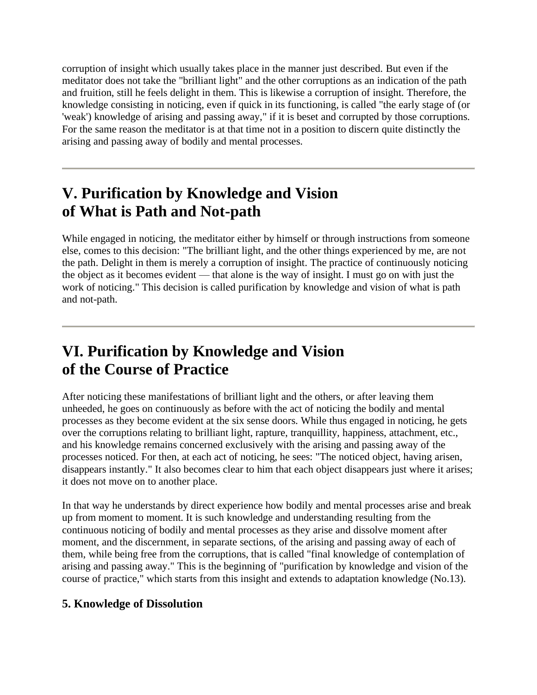corruption of insight which usually takes place in the manner just described. But even if the meditator does not take the "brilliant light" and the other corruptions as an indication of the path and fruition, still he feels delight in them. This is likewise a corruption of insight. Therefore, the knowledge consisting in noticing, even if quick in its functioning, is called "the early stage of (or 'weak') knowledge of arising and passing away," if it is beset and corrupted by those corruptions. For the same reason the meditator is at that time not in a position to discern quite distinctly the arising and passing away of bodily and mental processes.

# **V. Purification by Knowledge and Vision of What is Path and Not-path**

While engaged in noticing, the meditator either by himself or through instructions from someone else, comes to this decision: "The brilliant light, and the other things experienced by me, are not the path. Delight in them is merely a corruption of insight. The practice of continuously noticing the object as it becomes evident — that alone is the way of insight. I must go on with just the work of noticing." This decision is called purification by knowledge and vision of what is path and not-path.

# **VI. Purification by Knowledge and Vision of the Course of Practice**

After noticing these manifestations of brilliant light and the others, or after leaving them unheeded, he goes on continuously as before with the act of noticing the bodily and mental processes as they become evident at the six sense doors. While thus engaged in noticing, he gets over the corruptions relating to brilliant light, rapture, tranquillity, happiness, attachment, etc., and his knowledge remains concerned exclusively with the arising and passing away of the processes noticed. For then, at each act of noticing, he sees: "The noticed object, having arisen, disappears instantly." It also becomes clear to him that each object disappears just where it arises; it does not move on to another place.

In that way he understands by direct experience how bodily and mental processes arise and break up from moment to moment. It is such knowledge and understanding resulting from the continuous noticing of bodily and mental processes as they arise and dissolve moment after moment, and the discernment, in separate sections, of the arising and passing away of each of them, while being free from the corruptions, that is called "final knowledge of contemplation of arising and passing away." This is the beginning of "purification by knowledge and vision of the course of practice," which starts from this insight and extends to adaptation knowledge (No.13).

# **5. Knowledge of Dissolution**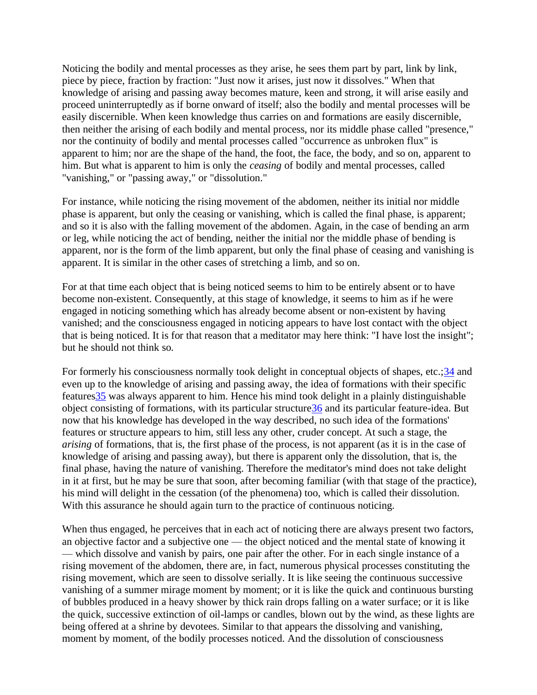Noticing the bodily and mental processes as they arise, he sees them part by part, link by link, piece by piece, fraction by fraction: "Just now it arises, just now it dissolves." When that knowledge of arising and passing away becomes mature, keen and strong, it will arise easily and proceed uninterruptedly as if borne onward of itself; also the bodily and mental processes will be easily discernible. When keen knowledge thus carries on and formations are easily discernible, then neither the arising of each bodily and mental process, nor its middle phase called "presence," nor the continuity of bodily and mental processes called "occurrence as unbroken flux" is apparent to him; nor are the shape of the hand, the foot, the face, the body, and so on, apparent to him. But what is apparent to him is only the *ceasing* of bodily and mental processes, called "vanishing," or "passing away," or "dissolution."

For instance, while noticing the rising movement of the abdomen, neither its initial nor middle phase is apparent, but only the ceasing or vanishing, which is called the final phase, is apparent; and so it is also with the falling movement of the abdomen. Again, in the case of bending an arm or leg, while noticing the act of bending, neither the initial nor the middle phase of bending is apparent, nor is the form of the limb apparent, but only the final phase of ceasing and vanishing is apparent. It is similar in the other cases of stretching a limb, and so on.

For at that time each object that is being noticed seems to him to be entirely absent or to have become non-existent. Consequently, at this stage of knowledge, it seems to him as if he were engaged in noticing something which has already become absent or non-existent by having vanished; and the consciousness engaged in noticing appears to have lost contact with the object that is being noticed. It is for that reason that a meditator may here think: "I have lost the insight"; but he should not think so.

For formerly his consciousness normally took delight in conceptual objects of shapes, etc.; 34 and even up to the knowledge of arising and passing away, the idea of formations with their specific feature[s35](http://www.accesstoinsight.org/lib/authors/mahasi/progress.html#n-35) was always apparent to him. Hence his mind took delight in a plainly distinguishable object consisting of formations, with its particular structur[e36](http://www.accesstoinsight.org/lib/authors/mahasi/progress.html#n-36) and its particular feature-idea. But now that his knowledge has developed in the way described, no such idea of the formations' features or structure appears to him, still less any other, cruder concept. At such a stage, the *arising* of formations, that is, the first phase of the process, is not apparent (as it is in the case of knowledge of arising and passing away), but there is apparent only the dissolution, that is, the final phase, having the nature of vanishing. Therefore the meditator's mind does not take delight in it at first, but he may be sure that soon, after becoming familiar (with that stage of the practice), his mind will delight in the cessation (of the phenomena) too, which is called their dissolution. With this assurance he should again turn to the practice of continuous noticing.

When thus engaged, he perceives that in each act of noticing there are always present two factors, an objective factor and a subjective one — the object noticed and the mental state of knowing it — which dissolve and vanish by pairs, one pair after the other. For in each single instance of a rising movement of the abdomen, there are, in fact, numerous physical processes constituting the rising movement, which are seen to dissolve serially. It is like seeing the continuous successive vanishing of a summer mirage moment by moment; or it is like the quick and continuous bursting of bubbles produced in a heavy shower by thick rain drops falling on a water surface; or it is like the quick, successive extinction of oil-lamps or candles, blown out by the wind, as these lights are being offered at a shrine by devotees. Similar to that appears the dissolving and vanishing, moment by moment, of the bodily processes noticed. And the dissolution of consciousness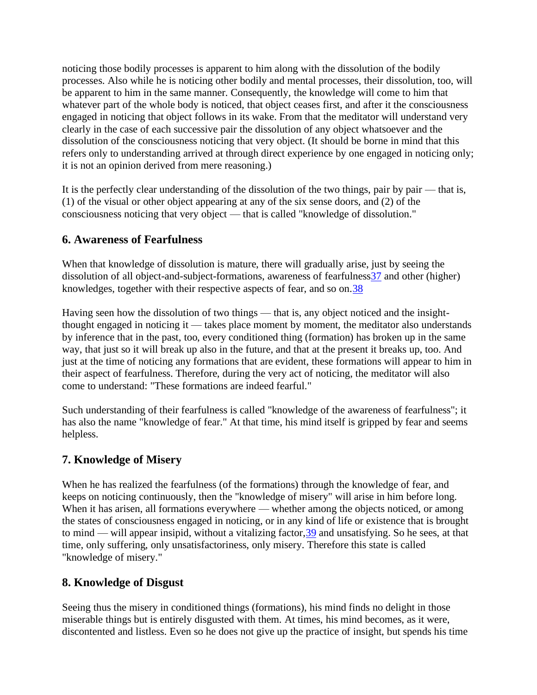noticing those bodily processes is apparent to him along with the dissolution of the bodily processes. Also while he is noticing other bodily and mental processes, their dissolution, too, will be apparent to him in the same manner. Consequently, the knowledge will come to him that whatever part of the whole body is noticed, that object ceases first, and after it the consciousness engaged in noticing that object follows in its wake. From that the meditator will understand very clearly in the case of each successive pair the dissolution of any object whatsoever and the dissolution of the consciousness noticing that very object. (It should be borne in mind that this refers only to understanding arrived at through direct experience by one engaged in noticing only; it is not an opinion derived from mere reasoning.)

It is the perfectly clear understanding of the dissolution of the two things, pair by pair — that is, (1) of the visual or other object appearing at any of the six sense doors, and (2) of the consciousness noticing that very object — that is called "knowledge of dissolution."

#### **6. Awareness of Fearfulness**

When that knowledge of dissolution is mature, there will gradually arise, just by seeing the dissolution of all object-and-subject-formations, awareness of fearfulness 37 and other (higher) knowledges, together with their respective aspects of fear, and so on[.38](http://www.accesstoinsight.org/lib/authors/mahasi/progress.html#n-38)

Having seen how the dissolution of two things — that is, any object noticed and the insightthought engaged in noticing it — takes place moment by moment, the meditator also understands by inference that in the past, too, every conditioned thing (formation) has broken up in the same way, that just so it will break up also in the future, and that at the present it breaks up, too. And just at the time of noticing any formations that are evident, these formations will appear to him in their aspect of fearfulness. Therefore, during the very act of noticing, the meditator will also come to understand: "These formations are indeed fearful."

Such understanding of their fearfulness is called "knowledge of the awareness of fearfulness"; it has also the name "knowledge of fear." At that time, his mind itself is gripped by fear and seems helpless.

# **7. Knowledge of Misery**

When he has realized the fearfulness (of the formations) through the knowledge of fear, and keeps on noticing continuously, then the "knowledge of misery" will arise in him before long. When it has arisen, all formations everywhere — whether among the objects noticed, or among the states of consciousness engaged in noticing, or in any kind of life or existence that is brought to mind — will appear insipid, without a vitalizing factor,  $\frac{39}{2}$  and unsatisfying. So he sees, at that time, only suffering, only unsatisfactoriness, only misery. Therefore this state is called "knowledge of misery."

# **8. Knowledge of Disgust**

Seeing thus the misery in conditioned things (formations), his mind finds no delight in those miserable things but is entirely disgusted with them. At times, his mind becomes, as it were, discontented and listless. Even so he does not give up the practice of insight, but spends his time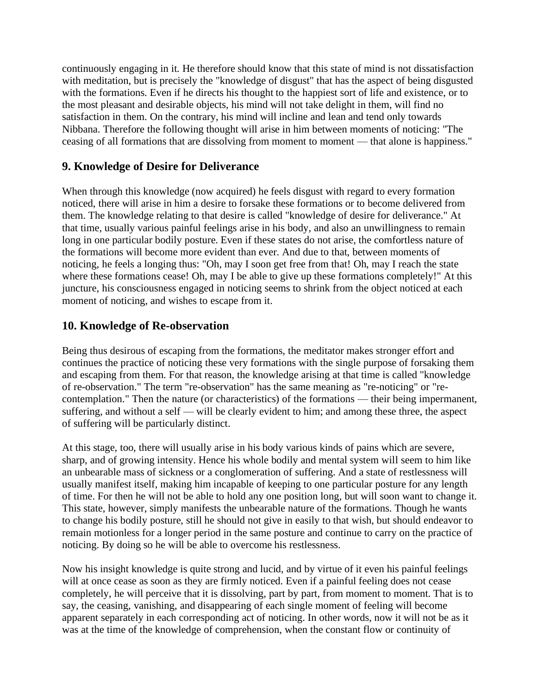continuously engaging in it. He therefore should know that this state of mind is not dissatisfaction with meditation, but is precisely the "knowledge of disgust" that has the aspect of being disgusted with the formations. Even if he directs his thought to the happiest sort of life and existence, or to the most pleasant and desirable objects, his mind will not take delight in them, will find no satisfaction in them. On the contrary, his mind will incline and lean and tend only towards Nibbana. Therefore the following thought will arise in him between moments of noticing: "The ceasing of all formations that are dissolving from moment to moment — that alone is happiness."

#### **9. Knowledge of Desire for Deliverance**

When through this knowledge (now acquired) he feels disgust with regard to every formation noticed, there will arise in him a desire to forsake these formations or to become delivered from them. The knowledge relating to that desire is called "knowledge of desire for deliverance." At that time, usually various painful feelings arise in his body, and also an unwillingness to remain long in one particular bodily posture. Even if these states do not arise, the comfortless nature of the formations will become more evident than ever. And due to that, between moments of noticing, he feels a longing thus: "Oh, may I soon get free from that! Oh, may I reach the state where these formations cease! Oh, may I be able to give up these formations completely!" At this juncture, his consciousness engaged in noticing seems to shrink from the object noticed at each moment of noticing, and wishes to escape from it.

#### **10. Knowledge of Re-observation**

Being thus desirous of escaping from the formations, the meditator makes stronger effort and continues the practice of noticing these very formations with the single purpose of forsaking them and escaping from them. For that reason, the knowledge arising at that time is called "knowledge of re-observation." The term "re-observation" has the same meaning as "re-noticing" or "recontemplation." Then the nature (or characteristics) of the formations — their being impermanent, suffering, and without a self — will be clearly evident to him; and among these three, the aspect of suffering will be particularly distinct.

At this stage, too, there will usually arise in his body various kinds of pains which are severe, sharp, and of growing intensity. Hence his whole bodily and mental system will seem to him like an unbearable mass of sickness or a conglomeration of suffering. And a state of restlessness will usually manifest itself, making him incapable of keeping to one particular posture for any length of time. For then he will not be able to hold any one position long, but will soon want to change it. This state, however, simply manifests the unbearable nature of the formations. Though he wants to change his bodily posture, still he should not give in easily to that wish, but should endeavor to remain motionless for a longer period in the same posture and continue to carry on the practice of noticing. By doing so he will be able to overcome his restlessness.

Now his insight knowledge is quite strong and lucid, and by virtue of it even his painful feelings will at once cease as soon as they are firmly noticed. Even if a painful feeling does not cease completely, he will perceive that it is dissolving, part by part, from moment to moment. That is to say, the ceasing, vanishing, and disappearing of each single moment of feeling will become apparent separately in each corresponding act of noticing. In other words, now it will not be as it was at the time of the knowledge of comprehension, when the constant flow or continuity of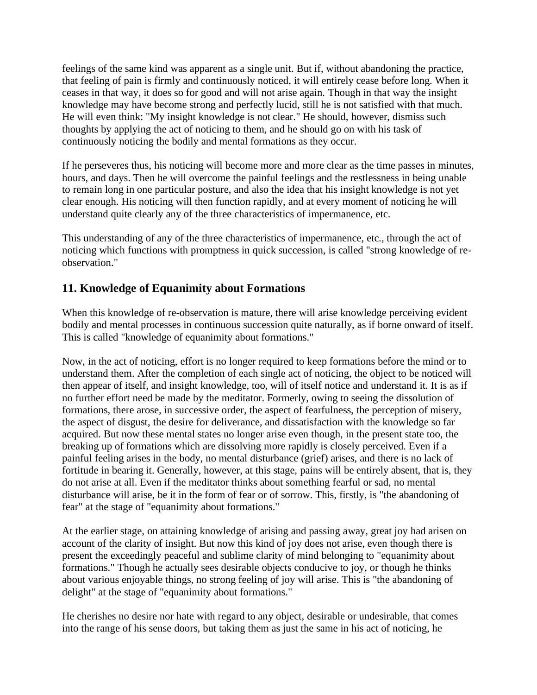feelings of the same kind was apparent as a single unit. But if, without abandoning the practice, that feeling of pain is firmly and continuously noticed, it will entirely cease before long. When it ceases in that way, it does so for good and will not arise again. Though in that way the insight knowledge may have become strong and perfectly lucid, still he is not satisfied with that much. He will even think: "My insight knowledge is not clear." He should, however, dismiss such thoughts by applying the act of noticing to them, and he should go on with his task of continuously noticing the bodily and mental formations as they occur.

If he perseveres thus, his noticing will become more and more clear as the time passes in minutes, hours, and days. Then he will overcome the painful feelings and the restlessness in being unable to remain long in one particular posture, and also the idea that his insight knowledge is not yet clear enough. His noticing will then function rapidly, and at every moment of noticing he will understand quite clearly any of the three characteristics of impermanence, etc.

This understanding of any of the three characteristics of impermanence, etc., through the act of noticing which functions with promptness in quick succession, is called "strong knowledge of reobservation."

#### **11. Knowledge of Equanimity about Formations**

When this knowledge of re-observation is mature, there will arise knowledge perceiving evident bodily and mental processes in continuous succession quite naturally, as if borne onward of itself. This is called "knowledge of equanimity about formations."

Now, in the act of noticing, effort is no longer required to keep formations before the mind or to understand them. After the completion of each single act of noticing, the object to be noticed will then appear of itself, and insight knowledge, too, will of itself notice and understand it. It is as if no further effort need be made by the meditator. Formerly, owing to seeing the dissolution of formations, there arose, in successive order, the aspect of fearfulness, the perception of misery, the aspect of disgust, the desire for deliverance, and dissatisfaction with the knowledge so far acquired. But now these mental states no longer arise even though, in the present state too, the breaking up of formations which are dissolving more rapidly is closely perceived. Even if a painful feeling arises in the body, no mental disturbance (grief) arises, and there is no lack of fortitude in bearing it. Generally, however, at this stage, pains will be entirely absent, that is, they do not arise at all. Even if the meditator thinks about something fearful or sad, no mental disturbance will arise, be it in the form of fear or of sorrow. This, firstly, is "the abandoning of fear" at the stage of "equanimity about formations."

At the earlier stage, on attaining knowledge of arising and passing away, great joy had arisen on account of the clarity of insight. But now this kind of joy does not arise, even though there is present the exceedingly peaceful and sublime clarity of mind belonging to "equanimity about formations." Though he actually sees desirable objects conducive to joy, or though he thinks about various enjoyable things, no strong feeling of joy will arise. This is "the abandoning of delight" at the stage of "equanimity about formations."

He cherishes no desire nor hate with regard to any object, desirable or undesirable, that comes into the range of his sense doors, but taking them as just the same in his act of noticing, he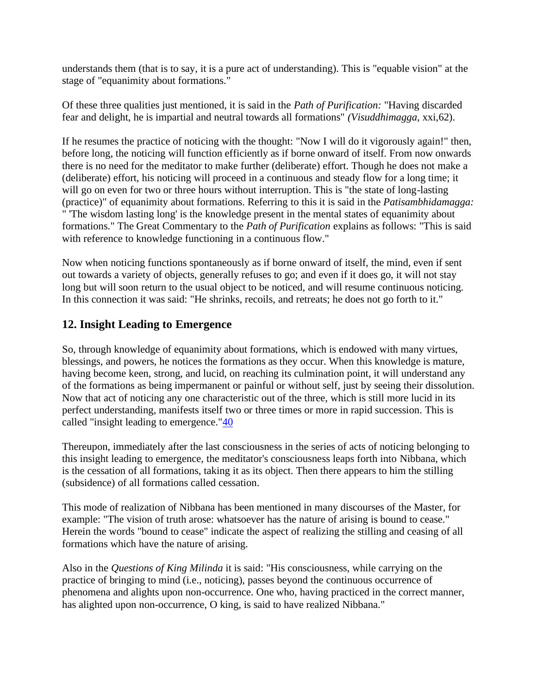understands them (that is to say, it is a pure act of understanding). This is "equable vision" at the stage of "equanimity about formations."

Of these three qualities just mentioned, it is said in the *Path of Purification:* "Having discarded fear and delight, he is impartial and neutral towards all formations" *(Visuddhimagga,* xxi,62).

If he resumes the practice of noticing with the thought: "Now I will do it vigorously again!" then, before long, the noticing will function efficiently as if borne onward of itself. From now onwards there is no need for the meditator to make further (deliberate) effort. Though he does not make a (deliberate) effort, his noticing will proceed in a continuous and steady flow for a long time; it will go on even for two or three hours without interruption. This is "the state of long-lasting (practice)" of equanimity about formations. Referring to this it is said in the *Patisambhidamagga:* " 'The wisdom lasting long' is the knowledge present in the mental states of equanimity about formations." The Great Commentary to the *Path of Purification* explains as follows: "This is said with reference to knowledge functioning in a continuous flow."

Now when noticing functions spontaneously as if borne onward of itself, the mind, even if sent out towards a variety of objects, generally refuses to go; and even if it does go, it will not stay long but will soon return to the usual object to be noticed, and will resume continuous noticing. In this connection it was said: "He shrinks, recoils, and retreats; he does not go forth to it."

# **12. Insight Leading to Emergence**

So, through knowledge of equanimity about formations, which is endowed with many virtues, blessings, and powers, he notices the formations as they occur. When this knowledge is mature, having become keen, strong, and lucid, on reaching its culmination point, it will understand any of the formations as being impermanent or painful or without self, just by seeing their dissolution. Now that act of noticing any one characteristic out of the three, which is still more lucid in its perfect understanding, manifests itself two or three times or more in rapid succession. This is called "insight leading to emergence.["40](http://www.accesstoinsight.org/lib/authors/mahasi/progress.html#n-40)

Thereupon, immediately after the last consciousness in the series of acts of noticing belonging to this insight leading to emergence, the meditator's consciousness leaps forth into Nibbana, which is the cessation of all formations, taking it as its object. Then there appears to him the stilling (subsidence) of all formations called cessation.

This mode of realization of Nibbana has been mentioned in many discourses of the Master, for example: "The vision of truth arose: whatsoever has the nature of arising is bound to cease." Herein the words "bound to cease" indicate the aspect of realizing the stilling and ceasing of all formations which have the nature of arising.

Also in the *Questions of King Milinda* it is said: "His consciousness, while carrying on the practice of bringing to mind (i.e., noticing), passes beyond the continuous occurrence of phenomena and alights upon non-occurrence. One who, having practiced in the correct manner, has alighted upon non-occurrence, O king, is said to have realized Nibbana."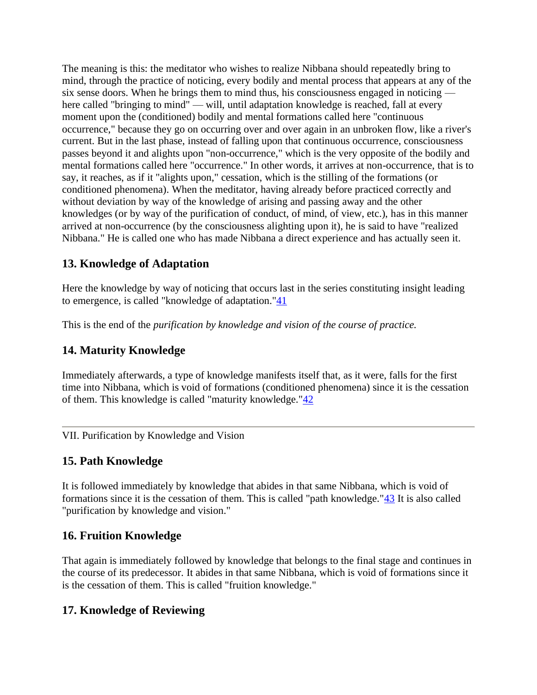The meaning is this: the meditator who wishes to realize Nibbana should repeatedly bring to mind, through the practice of noticing, every bodily and mental process that appears at any of the six sense doors. When he brings them to mind thus, his consciousness engaged in noticing here called "bringing to mind" — will, until adaptation knowledge is reached, fall at every moment upon the (conditioned) bodily and mental formations called here "continuous occurrence," because they go on occurring over and over again in an unbroken flow, like a river's current. But in the last phase, instead of falling upon that continuous occurrence, consciousness passes beyond it and alights upon "non-occurrence," which is the very opposite of the bodily and mental formations called here "occurrence." In other words, it arrives at non-occurrence, that is to say, it reaches, as if it "alights upon," cessation, which is the stilling of the formations (or conditioned phenomena). When the meditator, having already before practiced correctly and without deviation by way of the knowledge of arising and passing away and the other knowledges (or by way of the purification of conduct, of mind, of view, etc.), has in this manner arrived at non-occurrence (by the consciousness alighting upon it), he is said to have "realized Nibbana." He is called one who has made Nibbana a direct experience and has actually seen it.

# **13. Knowledge of Adaptation**

Here the knowledge by way of noticing that occurs last in the series constituting insight leading to emergence, is called "knowledge of adaptation.["41](http://www.accesstoinsight.org/lib/authors/mahasi/progress.html#n-41)

This is the end of the *purification by knowledge and vision of the course of practice.*

# **14. Maturity Knowledge**

Immediately afterwards, a type of knowledge manifests itself that, as it were, falls for the first time into Nibbana, which is void of formations (conditioned phenomena) since it is the cessation of them. This knowledge is called "maturity knowledge.["42](http://www.accesstoinsight.org/lib/authors/mahasi/progress.html#n-42)

VII. Purification by Knowledge and Visio[n](http://www.accesstoinsight.org/lib/authors/mahasi/progress.html#toc)

# **15. Path Knowledge**

It is followed immediately by knowledge that abides in that same Nibbana, which is void of formations since it is the cessation of them. This is called "path knowledge.["43](http://www.accesstoinsight.org/lib/authors/mahasi/progress.html#n-43) It is also called "purification by knowledge and vision."

# **16. Fruition Knowledge**

That again is immediately followed by knowledge that belongs to the final stage and continues in the course of its predecessor. It abides in that same Nibbana, which is void of formations since it is the cessation of them. This is called "fruition knowledge."

# **17. Knowledge of Reviewing**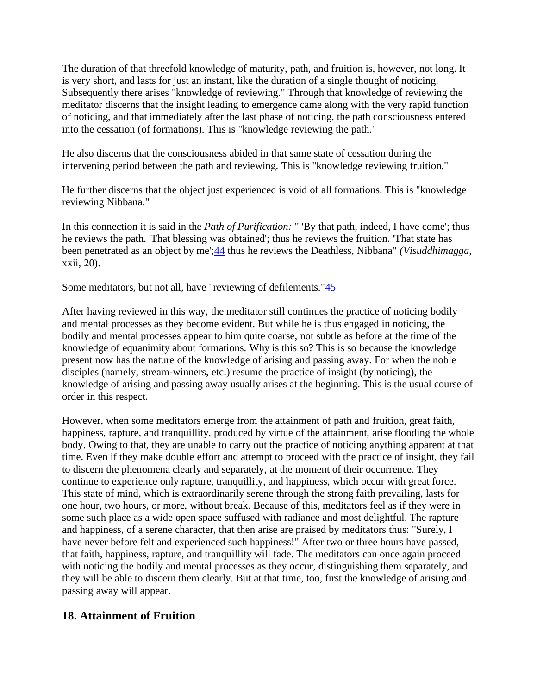The duration of that threefold knowledge of maturity, path, and fruition is, however, not long. It is very short, and lasts for just an instant, like the duration of a single thought of noticing. Subsequently there arises "knowledge of reviewing." Through that knowledge of reviewing the meditator discerns that the insight leading to emergence came along with the very rapid function of noticing, and that immediately after the last phase of noticing, the path consciousness entered into the cessation (of formations). This is "knowledge reviewing the path."

He also discerns that the consciousness abided in that same state of cessation during the intervening period between the path and reviewing. This is "knowledge reviewing fruition."

He further discerns that the object just experienced is void of all formations. This is "knowledge reviewing Nibbana."

In this connection it is said in the *Path of Purification:* " 'By that path, indeed, I have come'; thus he reviews the path. 'That blessing was obtained'; thus he reviews the fruition. 'That state has been penetrated as an object by me'[;44](http://www.accesstoinsight.org/lib/authors/mahasi/progress.html#n-44) thus he reviews the Deathless, Nibbana" *(Visuddhimagga,* xxii, 20).

Some meditators, but not all, have "reviewing of defilements." $\frac{45}{3}$ 

After having reviewed in this way, the meditator still continues the practice of noticing bodily and mental processes as they become evident. But while he is thus engaged in noticing, the bodily and mental processes appear to him quite coarse, not subtle as before at the time of the knowledge of equanimity about formations. Why is this so? This is so because the knowledge present now has the nature of the knowledge of arising and passing away. For when the noble disciples (namely, stream-winners, etc.) resume the practice of insight (by noticing), the knowledge of arising and passing away usually arises at the beginning. This is the usual course of order in this respect.

However, when some meditators emerge from the attainment of path and fruition, great faith, happiness, rapture, and tranquillity, produced by virtue of the attainment, arise flooding the whole body. Owing to that, they are unable to carry out the practice of noticing anything apparent at that time. Even if they make double effort and attempt to proceed with the practice of insight, they fail to discern the phenomena clearly and separately, at the moment of their occurrence. They continue to experience only rapture, tranquillity, and happiness, which occur with great force. This state of mind, which is extraordinarily serene through the strong faith prevailing, lasts for one hour, two hours, or more, without break. Because of this, meditators feel as if they were in some such place as a wide open space suffused with radiance and most delightful. The rapture and happiness, of a serene character, that then arise are praised by meditators thus: "Surely, I have never before felt and experienced such happiness!" After two or three hours have passed, that faith, happiness, rapture, and tranquillity will fade. The meditators can once again proceed with noticing the bodily and mental processes as they occur, distinguishing them separately, and they will be able to discern them clearly. But at that time, too, first the knowledge of arising and passing away will appear.

# **18. Attainment of Fruition**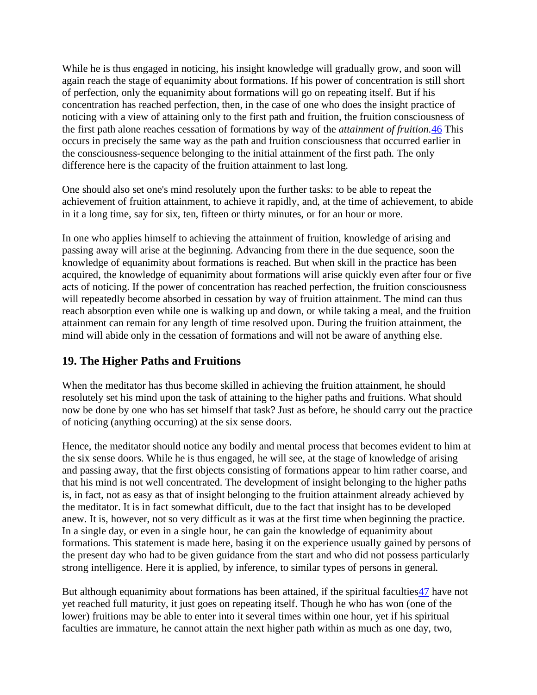While he is thus engaged in noticing, his insight knowledge will gradually grow, and soon will again reach the stage of equanimity about formations. If his power of concentration is still short of perfection, only the equanimity about formations will go on repeating itself. But if his concentration has reached perfection, then, in the case of one who does the insight practice of noticing with a view of attaining only to the first path and fruition, the fruition consciousness of the first path alone reaches cessation of formations by way of the *attainment of fruition.*[46](http://www.accesstoinsight.org/lib/authors/mahasi/progress.html#n-46) This occurs in precisely the same way as the path and fruition consciousness that occurred earlier in the consciousness-sequence belonging to the initial attainment of the first path. The only difference here is the capacity of the fruition attainment to last long.

One should also set one's mind resolutely upon the further tasks: to be able to repeat the achievement of fruition attainment, to achieve it rapidly, and, at the time of achievement, to abide in it a long time, say for six, ten, fifteen or thirty minutes, or for an hour or more.

In one who applies himself to achieving the attainment of fruition, knowledge of arising and passing away will arise at the beginning. Advancing from there in the due sequence, soon the knowledge of equanimity about formations is reached. But when skill in the practice has been acquired, the knowledge of equanimity about formations will arise quickly even after four or five acts of noticing. If the power of concentration has reached perfection, the fruition consciousness will repeatedly become absorbed in cessation by way of fruition attainment. The mind can thus reach absorption even while one is walking up and down, or while taking a meal, and the fruition attainment can remain for any length of time resolved upon. During the fruition attainment, the mind will abide only in the cessation of formations and will not be aware of anything else.

#### **19. The Higher Paths and Fruitions**

When the meditator has thus become skilled in achieving the fruition attainment, he should resolutely set his mind upon the task of attaining to the higher paths and fruitions. What should now be done by one who has set himself that task? Just as before, he should carry out the practice of noticing (anything occurring) at the six sense doors.

Hence, the meditator should notice any bodily and mental process that becomes evident to him at the six sense doors. While he is thus engaged, he will see, at the stage of knowledge of arising and passing away, that the first objects consisting of formations appear to him rather coarse, and that his mind is not well concentrated. The development of insight belonging to the higher paths is, in fact, not as easy as that of insight belonging to the fruition attainment already achieved by the meditator. It is in fact somewhat difficult, due to the fact that insight has to be developed anew. It is, however, not so very difficult as it was at the first time when beginning the practice. In a single day, or even in a single hour, he can gain the knowledge of equanimity about formations. This statement is made here, basing it on the experience usually gained by persons of the present day who had to be given guidance from the start and who did not possess particularly strong intelligence. Here it is applied, by inference, to similar types of persons in general.

But although equanimity about formations has been attained, if the spiritual facultie[s47](http://www.accesstoinsight.org/lib/authors/mahasi/progress.html#n-47) have not yet reached full maturity, it just goes on repeating itself. Though he who has won (one of the lower) fruitions may be able to enter into it several times within one hour, yet if his spiritual faculties are immature, he cannot attain the next higher path within as much as one day, two,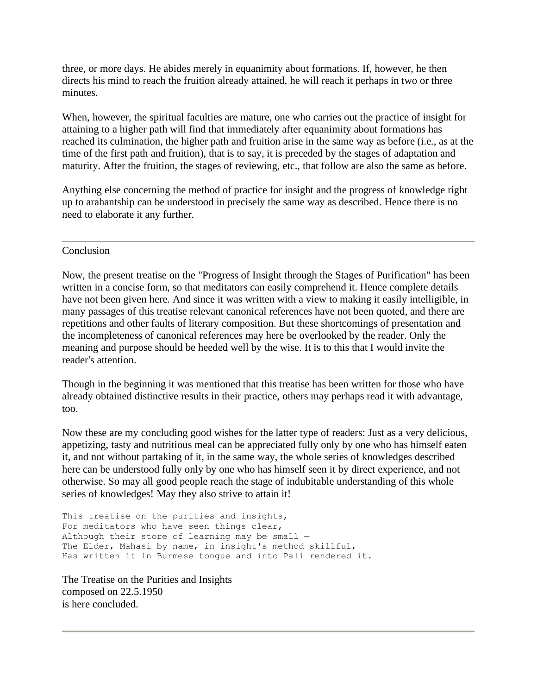three, or more days. He abides merely in equanimity about formations. If, however, he then directs his mind to reach the fruition already attained, he will reach it perhaps in two or three minutes.

When, however, the spiritual faculties are mature, one who carries out the practice of insight for attaining to a higher path will find that immediately after equanimity about formations has reached its culmination, the higher path and fruition arise in the same way as before (i.e., as at the time of the first path and fruition), that is to say, it is preceded by the stages of adaptation and maturity. After the fruition, the stages of reviewing, etc., that follow are also the same as before.

Anything else concerning the method of practice for insight and the progress of knowledge right up to arahantship can be understood in precisely the same way as described. Hence there is no need to elaborate it any further.

#### Conclusion

Now, the present treatise on the "Progress of Insight through the Stages of Purification" has been written in a concise form, so that meditators can easily comprehend it. Hence complete details have not been given here. And since it was written with a view to making it easily intelligible, in many passages of this treatise relevant canonical references have not been quoted, and there are repetitions and other faults of literary composition. But these shortcomings of presentation and the incompleteness of canonical references may here be overlooked by the reader. Only the meaning and purpose should be heeded well by the wise. It is to this that I would invite the reader's attention.

Though in the beginning it was mentioned that this treatise has been written for those who have already obtained distinctive results in their practice, others may perhaps read it with advantage, too.

Now these are my concluding good wishes for the latter type of readers: Just as a very delicious, appetizing, tasty and nutritious meal can be appreciated fully only by one who has himself eaten it, and not without partaking of it, in the same way, the whole series of knowledges described here can be understood fully only by one who has himself seen it by direct experience, and not otherwise. So may all good people reach the stage of indubitable understanding of this whole series of knowledges! May they also strive to attain it!

This treatise on the purities and insights, For meditators who have seen things clear, Although their store of learning may be small — The Elder, Mahasi by name, in insight's method skillful, Has written it in Burmese tongue and into Pali rendered it.

The Treatise on the Purities and Insights composed on 22.5.1950 is here concluded.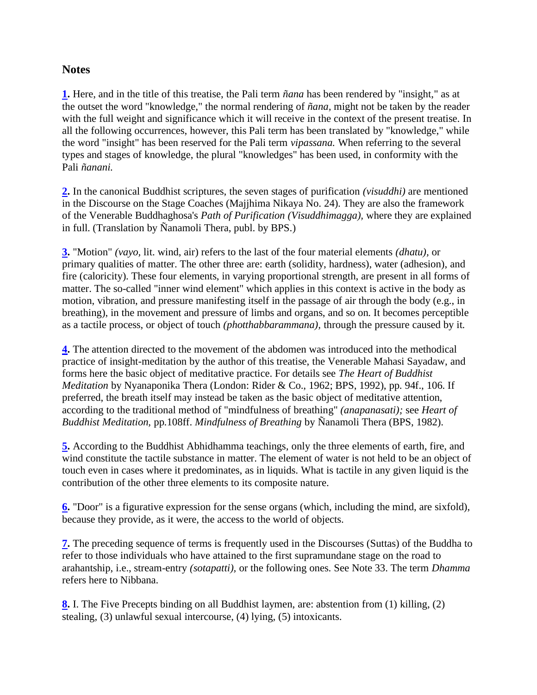#### **Notes**

**[1.](http://www.accesstoinsight.org/lib/authors/mahasi/progress.html#t-1)** Her[e, a](http://www.accesstoinsight.org/lib/authors/mahasi/progress.html#toc)nd in the title of this treatise, the Pali term *ñana* has been rendered by "insight," as at the outset the word "knowledge," the normal rendering of *ñana,* might not be taken by the reader with the full weight and significance which it will receive in the context of the present treatise. In all the following occurrences, however, this Pali term has been translated by "knowledge," while the word "insight" has been reserved for the Pali term *vipassana.* When referring to the several types and stages of knowledge, the plural "knowledges" has been used, in conformity with the Pali *ñanani.*

**[2.](http://www.accesstoinsight.org/lib/authors/mahasi/progress.html#t-2)** In the canonical Buddhist scriptures, the seven stages of purification *(visuddhi)* are mentioned in the Discourse on the Stage Coaches (Majjhima Nikaya No. 24). They are also the framework of the Venerable Buddhaghosa's *Path of Purification (Visuddhimagga),* where they are explained in full. (Translation by Ñanamoli Thera, publ. by BPS.)

**[3.](http://www.accesstoinsight.org/lib/authors/mahasi/progress.html#t-3)** "Motion" *(vayo,* lit. wind, air) refers to the last of the four material elements *(dhatu),* or primary qualities of matter. The other three are: earth (solidity, hardness), water (adhesion), and fire (caloricity). These four elements, in varying proportional strength, are present in all forms of matter. The so-called "inner wind element" which applies in this context is active in the body as motion, vibration, and pressure manifesting itself in the passage of air through the body (e.g., in breathing), in the movement and pressure of limbs and organs, and so on. It becomes perceptible as a tactile process, or object of touch *(photthabbarammana),* through the pressure caused by it.

**[4.](http://www.accesstoinsight.org/lib/authors/mahasi/progress.html#t-4)** The attention directed to the movement of the abdomen was introduced into the methodical practice of insight-meditation by the author of this treatise, the Venerable Mahasi Sayadaw, and forms here the basic object of meditative practice. For details see *The Heart of Buddhist Meditation* by Nyanaponika Thera (London: Rider & Co., 1962; BPS, 1992), pp. 94f., 106. If preferred, the breath itself may instead be taken as the basic object of meditative attention, according to the traditional method of "mindfulness of breathing" *(anapanasati);* see *Heart of Buddhist Meditation,* pp.108ff. *Mindfulness of Breathing* by Ñanamoli Thera (BPS, 1982).

**[5.](http://www.accesstoinsight.org/lib/authors/mahasi/progress.html#t-5)** According to the Buddhist Abhidhamma teachings, only the three elements of earth, fire, and wind constitute the tactile substance in matter. The element of water is not held to be an object of touch even in cases where it predominates, as in liquids. What is tactile in any given liquid is the contribution of the other three elements to its composite nature.

**[6.](http://www.accesstoinsight.org/lib/authors/mahasi/progress.html#t-6)** "Door" is a figurative expression for the sense organs (which, including the mind, are sixfold), because they provide, as it were, the access to the world of objects.

**[7.](http://www.accesstoinsight.org/lib/authors/mahasi/progress.html#t-7)** The preceding sequence of terms is frequently used in the Discourses (Suttas) of the Buddha to refer to those individuals who have attained to the first supramundane stage on the road to arahantship, i.e., stream-entry *(sotapatti),* or the following ones. See Note 33. The term *Dhamma* refers here to Nibbana.

**[8.](http://www.accesstoinsight.org/lib/authors/mahasi/progress.html#t-8)** I. The Five Precepts binding on all Buddhist laymen, are: abstention from (1) killing, (2) stealing, (3) unlawful sexual intercourse, (4) lying, (5) intoxicants.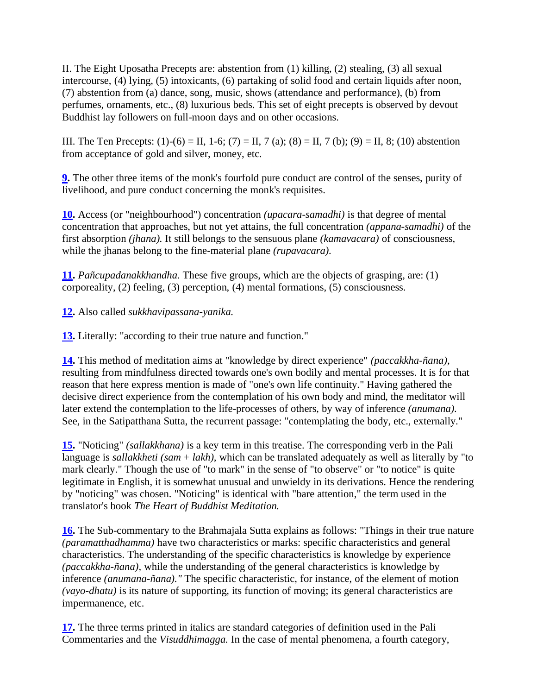II. The Eight Uposatha Precepts are: abstention from (1) killing, (2) stealing, (3) all sexual intercourse, (4) lying, (5) intoxicants, (6) partaking of solid food and certain liquids after noon, (7) abstention from (a) dance, song, music, shows (attendance and performance), (b) from perfumes, ornaments, etc., (8) luxurious beds. This set of eight precepts is observed by devout Buddhist lay followers on full-moon days and on other occasions.

III. The Ten Precepts: (1)-(6) = II, 1-6; (7) = II, 7 (a); (8) = II, 7 (b); (9) = II, 8; (10) abstention from acceptance of gold and silver, money, etc.

**[9.](http://www.accesstoinsight.org/lib/authors/mahasi/progress.html#t-9)** The other three items of the monk's fourfold pure conduct are control of the senses, purity of livelihood, and pure conduct concerning the monk's requisites.

**[10.](http://www.accesstoinsight.org/lib/authors/mahasi/progress.html#t-10)** Access (or "neighbourhood") concentration *(upacara-samadhi)* is that degree of mental concentration that approaches, but not yet attains, the full concentration *(appana-samadhi)* of the first absorption *(jhana).* It still belongs to the sensuous plane *(kamavacara)* of consciousness, while the jhanas belong to the fine-material plane *(rupavacara).*

**[11.](http://www.accesstoinsight.org/lib/authors/mahasi/progress.html#t-11)** *Pañcupadanakkhandha.* These five groups, which are the objects of grasping, are: (1) corporeality, (2) feeling, (3) perception, (4) mental formations, (5) consciousness.

**[12.](http://www.accesstoinsight.org/lib/authors/mahasi/progress.html#t-12)** Also called *sukkhavipassana-yanika.*

**[13.](http://www.accesstoinsight.org/lib/authors/mahasi/progress.html#t-13)** Literally: "according to their true nature and function."

**[14.](http://www.accesstoinsight.org/lib/authors/mahasi/progress.html#t-14)** This method of meditation aims at "knowledge by direct experience" *(paccakkha-ñana),* resulting from mindfulness directed towards one's own bodily and mental processes. It is for that reason that here express mention is made of "one's own life continuity." Having gathered the decisive direct experience from the contemplation of his own body and mind, the meditator will later extend the contemplation to the life-processes of others, by way of inference *(anumana).* See, in the Satipatthana Sutta, the recurrent passage: "contemplating the body, etc., externally."

**[15.](http://www.accesstoinsight.org/lib/authors/mahasi/progress.html#t-15)** "Noticing" *(sallakkhana)* is a key term in this treatise. The corresponding verb in the Pali language is *sallakkheti (sam* + *lakh),* which can be translated adequately as well as literally by "to mark clearly." Though the use of "to mark" in the sense of "to observe" or "to notice" is quite legitimate in English, it is somewhat unusual and unwieldy in its derivations. Hence the rendering by "noticing" was chosen. "Noticing" is identical with "bare attention," the term used in the translator's book *The Heart of Buddhist Meditation.*

**[16.](http://www.accesstoinsight.org/lib/authors/mahasi/progress.html#t-16)** The Sub-commentary to the Brahmajala Sutta explains as follows: "Things in their true nature *(paramatthadhamma)* have two characteristics or marks: specific characteristics and general characteristics. The understanding of the specific characteristics is knowledge by experience *(paccakkha-ñana),* while the understanding of the general characteristics is knowledge by inference *(anumana-ñana)."* The specific characteristic, for instance, of the element of motion *(vayo-dhatu)* is its nature of supporting, its function of moving; its general characteristics are impermanence, etc.

**[17.](http://www.accesstoinsight.org/lib/authors/mahasi/progress.html#t-17)** The three terms printed in italics are standard categories of definition used in the Pali Commentaries and the *Visuddhimagga.* In the case of mental phenomena, a fourth category,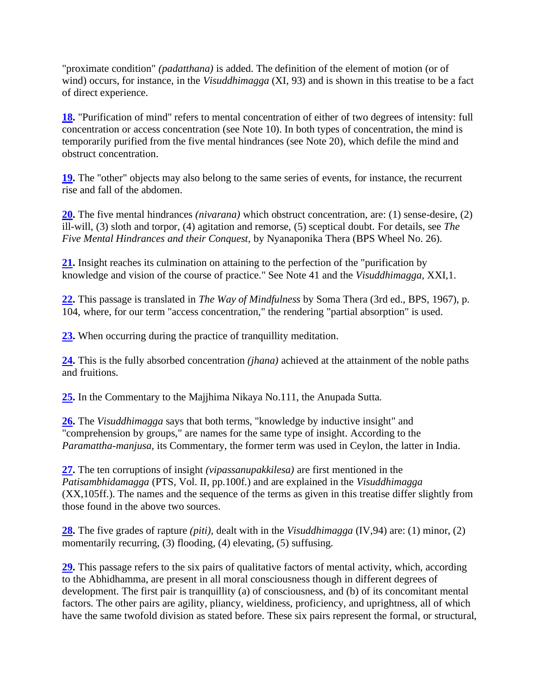"proximate condition" *(padatthana)* is added. The definition of the element of motion (or of wind) occurs, for instance, in the *Visuddhimagga* (XI, 93) and is shown in this treatise to be a fact of direct experience.

**[18.](http://www.accesstoinsight.org/lib/authors/mahasi/progress.html#t-18)** "Purification of mind" refers to mental concentration of either of two degrees of intensity: full concentration or access concentration (see Note 10). In both types of concentration, the mind is temporarily purified from the five mental hindrances (see Note 20), which defile the mind and obstruct concentration.

**[19.](http://www.accesstoinsight.org/lib/authors/mahasi/progress.html#t-19)** The "other" objects may also belong to the same series of events, for instance, the recurrent rise and fall of the abdomen.

**[20.](http://www.accesstoinsight.org/lib/authors/mahasi/progress.html#t-20)** The five mental hindrances *(nivarana)* which obstruct concentration, are: (1) sense-desire, (2) ill-will, (3) sloth and torpor, (4) agitation and remorse, (5) sceptical doubt. For details, see *The Five Mental Hindrances and their Conquest,* by Nyanaponika Thera (BPS Wheel No. 26).

**[21.](http://www.accesstoinsight.org/lib/authors/mahasi/progress.html#t-21)** Insight reaches its culmination on attaining to the perfection of the "purification by knowledge and vision of the course of practice." See Note 41 and the *Visuddhimagga,* XXI,1.

**[22.](http://www.accesstoinsight.org/lib/authors/mahasi/progress.html#t-22)** This passage is translated in *The Way of Mindfulness* by Soma Thera (3rd ed., BPS, 1967), p. 104, where, for our term "access concentration," the rendering "partial absorption" is used.

[23.](http://www.accesstoinsight.org/lib/authors/mahasi/progress.html#t-23) When occurring during the practice of tranquillity meditation.

**[24.](http://www.accesstoinsight.org/lib/authors/mahasi/progress.html#t-24)** This is the fully absorbed concentration *(jhana)* achieved at the attainment of the noble paths and fruitions.

**[25.](http://www.accesstoinsight.org/lib/authors/mahasi/progress.html#t-25)** In the Commentary to the Majjhima Nikaya No.111, the Anupada Sutta.

**[26.](http://www.accesstoinsight.org/lib/authors/mahasi/progress.html#t-26)** The *Visuddhimagga* says that both terms, "knowledge by inductive insight" and "comprehension by groups," are names for the same type of insight. According to the *Paramattha-manjusa,* its Commentary, the former term was used in Ceylon, the latter in India.

**[27.](http://www.accesstoinsight.org/lib/authors/mahasi/progress.html#t-27)** The ten corruptions of insight *(vipassanupakkilesa)* are first mentioned in the *Patisambhidamagga* (PTS, Vol. II, pp.100f.) and are explained in the *Visuddhimagga* (XX,105ff.). The names and the sequence of the terms as given in this treatise differ slightly from those found in the above two sources.

**[28.](http://www.accesstoinsight.org/lib/authors/mahasi/progress.html#t-28)** The five grades of rapture *(piti),* dealt with in the *Visuddhimagga* (IV,94) are: (1) minor, (2) momentarily recurring, (3) flooding, (4) elevating, (5) suffusing.

**[29.](http://www.accesstoinsight.org/lib/authors/mahasi/progress.html#t-29)** This passage refers to the six pairs of qualitative factors of mental activity, which, according to the Abhidhamma, are present in all moral consciousness though in different degrees of development. The first pair is tranquillity (a) of consciousness, and (b) of its concomitant mental factors. The other pairs are agility, pliancy, wieldiness, proficiency, and uprightness, all of which have the same twofold division as stated before. These six pairs represent the formal, or structural,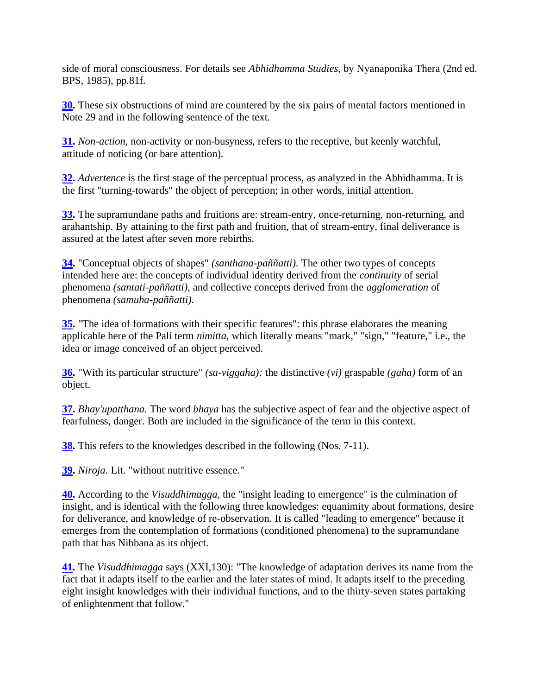side of moral consciousness. For details see *Abhidhamma Studies,* by Nyanaponika Thera (2nd ed. BPS, 1985), pp.81f.

**[30.](http://www.accesstoinsight.org/lib/authors/mahasi/progress.html#t-30)** These six obstructions of mind are countered by the six pairs of mental factors mentioned in Note 29 and in the following sentence of the text.

**[31.](http://www.accesstoinsight.org/lib/authors/mahasi/progress.html#t-31)** *Non-action,* non-activity or non-busyness, refers to the receptive, but keenly watchful, attitude of noticing (or bare attention).

**[32.](http://www.accesstoinsight.org/lib/authors/mahasi/progress.html#t-32)** *Advertence* is the first stage of the perceptual process, as analyzed in the Abhidhamma. It is the first "turning-towards" the object of perception; in other words, initial attention.

**[33.](http://www.accesstoinsight.org/lib/authors/mahasi/progress.html#t-33)** The supramundane paths and fruitions are: stream-entry, once-returning, non-returning, and arahantship. By attaining to the first path and fruition, that of stream-entry, final deliverance is assured at the latest after seven more rebirths.

**[34.](http://www.accesstoinsight.org/lib/authors/mahasi/progress.html#t-34)** "Conceptual objects of shapes" *(santhana-paññatti).* The other two types of concepts intended here are: the concepts of individual identity derived from the *continuity* of serial phenomena *(santati-paññatti),* and collective concepts derived from the *agglomeration* of phenomena *(samuha-paññatti).*

**[35.](http://www.accesstoinsight.org/lib/authors/mahasi/progress.html#t-35)** "The idea of formations with their specific features": this phrase elaborates the meaning applicable here of the Pali term *nimitta,* which literally means "mark," "sign," "feature," i.e., the idea or image conceived of an object perceived.

**[36.](http://www.accesstoinsight.org/lib/authors/mahasi/progress.html#t-36)** "With its particular structure" *(sa-viggaha):* the distinctive *(vi)* graspable *(gaha)* form of an object.

**[37.](http://www.accesstoinsight.org/lib/authors/mahasi/progress.html#t-37)** *Bhay'upatthana.* The word *bhaya* has the subjective aspect of fear and the objective aspect of fearfulness, danger. Both are included in the significance of the term in this context.

**[38.](http://www.accesstoinsight.org/lib/authors/mahasi/progress.html#t-38)** This refers to the knowledges described in the following (Nos. 7-11).

**[39.](http://www.accesstoinsight.org/lib/authors/mahasi/progress.html#t-39)** *Niroja.* Lit. "without nutritive essence."

**[40.](http://www.accesstoinsight.org/lib/authors/mahasi/progress.html#t-40)** According to the *Visuddhimagga,* the "insight leading to emergence" is the culmination of insight, and is identical with the following three knowledges: equanimity about formations, desire for deliverance, and knowledge of re-observation. It is called "leading to emergence" because it emerges from the contemplation of formations (conditioned phenomena) to the supramundane path that has Nibbana as its object.

**[41.](http://www.accesstoinsight.org/lib/authors/mahasi/progress.html#t-41)** The *Visuddhimagga* says (XXI,130): "The knowledge of adaptation derives its name from the fact that it adapts itself to the earlier and the later states of mind. It adapts itself to the preceding eight insight knowledges with their individual functions, and to the thirty-seven states partaking of enlightenment that follow."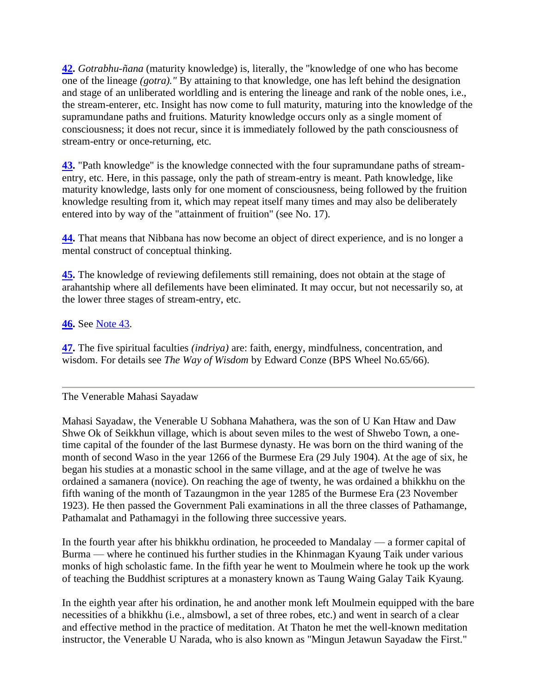**[42.](http://www.accesstoinsight.org/lib/authors/mahasi/progress.html#t-42)** *Gotrabhu-ñana* (maturity knowledge) is, literally, the "knowledge of one who has become one of the lineage *(gotra)."* By attaining to that knowledge, one has left behind the designation and stage of an unliberated worldling and is entering the lineage and rank of the noble ones, i.e., the stream-enterer, etc. Insight has now come to full maturity, maturing into the knowledge of the supramundane paths and fruitions. Maturity knowledge occurs only as a single moment of consciousness; it does not recur, since it is immediately followed by the path consciousness of stream-entry or once-returning, etc.

**[43.](http://www.accesstoinsight.org/lib/authors/mahasi/progress.html#t-43)** "Path knowledge" is the knowledge connected with the four supramundane paths of streamentry, etc. Here, in this passage, only the path of stream-entry is meant. Path knowledge, like maturity knowledge, lasts only for one moment of consciousness, being followed by the fruition knowledge resulting from it, which may repeat itself many times and may also be deliberately entered into by way of the "attainment of fruition" (see No. 17).

**[44.](http://www.accesstoinsight.org/lib/authors/mahasi/progress.html#t-44)** That means that Nibbana has now become an object of direct experience, and is no longer a mental construct of conceptual thinking.

**[45.](http://www.accesstoinsight.org/lib/authors/mahasi/progress.html#t-45)** The knowledge of reviewing defilements still remaining, does not obtain at the stage of arahantship where all defilements have been eliminated. It may occur, but not necessarily so, at the lower three stages of stream-entry, etc.

#### **[46.](http://www.accesstoinsight.org/lib/authors/mahasi/progress.html#t-46)** See [Note 43.](http://www.accesstoinsight.org/lib/authors/mahasi/progress.html#n-43)

**[47.](http://www.accesstoinsight.org/lib/authors/mahasi/progress.html#t-47)** The five spiritual faculties *(indriya)* are: faith, energy, mindfulness, concentration, and wisdom. For details see *The Way of Wisdom* by Edward Conze (BPS Wheel No.65/66).

#### The Venerable Mahasi Sayadaw

Mahasi Sayadaw, the Venerable U Sobhana Mahathera, was the son of U Kan Htaw and Daw Shwe Ok of Seikkhun village, which is about seven miles to the west of Shwebo Town, a onetime capital of the founder of the last Burmese dynasty. He was born on the third waning of the month of second Waso in the year 1266 of the Burmese Era (29 July 1904). At the age of six, he began his studies at a monastic school in the same village, and at the age of twelve he was ordained a samanera (novice). On reaching the age of twenty, he was ordained a bhikkhu on the fifth waning of the month of Tazaungmon in the year 1285 of the Burmese Era (23 November 1923). He then passed the Government Pali examinations in all the three classes of Pathamange, Pathamalat and Pathamagyi in the following three successive years.

In the fourth year after his bhikkhu ordination, he proceeded to Mandalay — a former capital of Burma — where he continued his further studies in the Khinmagan Kyaung Taik under various monks of high scholastic fame. In the fifth year he went to Moulmein where he took up the work of teaching the Buddhist scriptures at a monastery known as Taung Waing Galay Taik Kyaung.

In the eighth year after his ordination, he and another monk left Moulmein equipped with the bare necessities of a bhikkhu (i.e., almsbowl, a set of three robes, etc.) and went in search of a clear and effective method in the practice of meditation. At Thaton he met the well-known meditation instructor, the Venerable U Narada, who is also known as "Mingun Jetawun Sayadaw the First."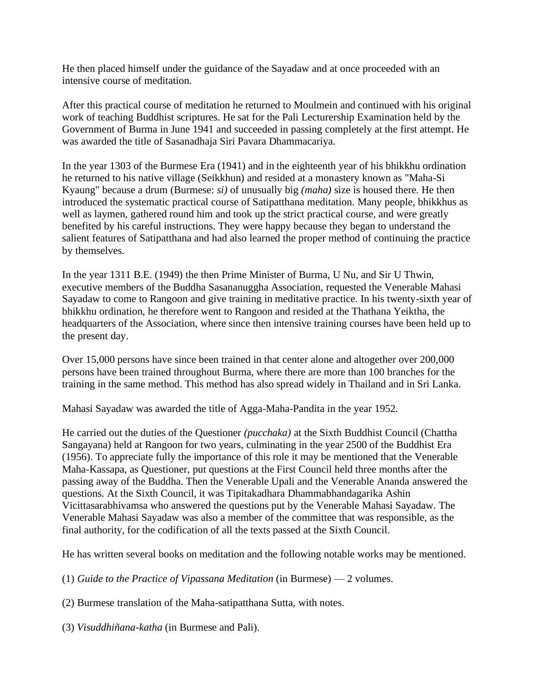He then placed himself under the guidance of the Sayadaw and at once proceeded with an intensive course of meditation.

After this practical course of meditation he returned to Moulmein and continued with his original work of teaching Buddhist scriptures. He sat for the Pali Lecturership Examination held by the Government of Burma in June 1941 and succeeded in passing completely at the first attempt. He was awarded the title of Sasanadhaja Siri Pavara Dhammacariya.

In the year 1303 of the Burmese Era (1941) and in the eighteenth year of his bhikkhu ordination he returned to his native village (Seikkhun) and resided at a monastery known as "Maha-Si Kyaung" because a drum (Burmese: *si)* of unusually big *(maha)* size is housed there. He then introduced the systematic practical course of Satipatthana meditation. Many people, bhikkhus as well as laymen, gathered round him and took up the strict practical course, and were greatly benefited by his careful instructions. They were happy because they began to understand the salient features of Satipatthana and had also learned the proper method of continuing the practice by themselves.

In the year 1311 B.E. (1949) the then Prime Minister of Burma, U Nu, and Sir U Thwin, executive members of the Buddha Sasananuggha Association, requested the Venerable Mahasi Sayadaw to come to Rangoon and give training in meditative practice. In his twenty-sixth year of bhikkhu ordination, he therefore went to Rangoon and resided at the Thathana Yeiktha, the headquarters of the Association, where since then intensive training courses have been held up to the present day.

Over 15,000 persons have since been trained in that center alone and altogether over 200,000 persons have been trained throughout Burma, where there are more than 100 branches for the training in the same method. This method has also spread widely in Thailand and in Sri Lanka.

Mahasi Sayadaw was awarded the title of Agga-Maha-Pandita in the year 1952.

He carried out the duties of the Questioner *(pucchaka)* at the Sixth Buddhist Council (Chattha Sangayana) held at Rangoon for two years, culminating in the year 2500 of the Buddhist Era (1956). To appreciate fully the importance of this role it may be mentioned that the Venerable Maha-Kassapa, as Questioner, put questions at the First Council held three months after the passing away of the Buddha. Then the Venerable Upali and the Venerable Ananda answered the questions. At the Sixth Council, it was Tipitakadhara Dhammabhandagarika Ashin Vicittasarabhivamsa who answered the questions put by the Venerable Mahasi Sayadaw. The Venerable Mahasi Sayadaw was also a member of the committee that was responsible, as the final authority, for the codification of all the texts passed at the Sixth Council.

He has written several books on meditation and the following notable works may be mentioned.

(1) *Guide to the Practice of Vipassana Meditation* (in Burmese) — 2 volumes.

(2) Burmese translation of the Maha-satipatthana Sutta, with notes.

(3) *Visuddhiñana-katha* (in Burmese and Pali).